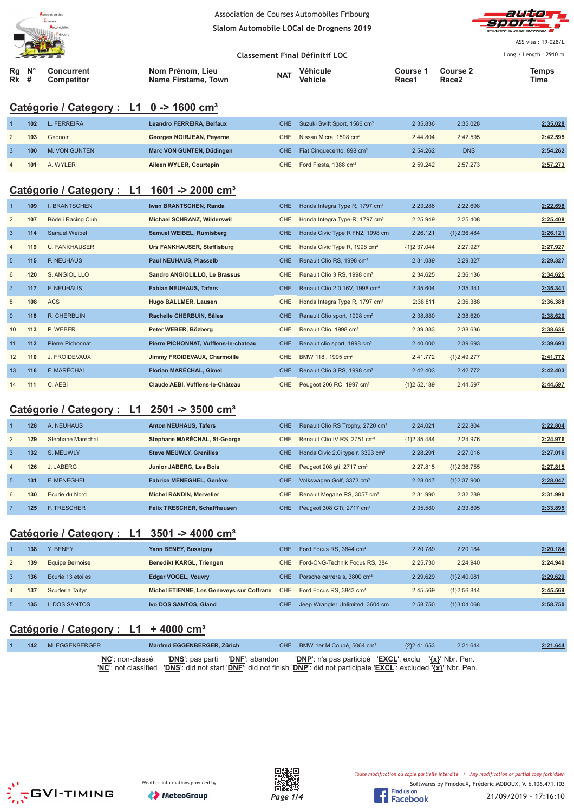

**Rg Rk N° #**

Association de Courses Automobiles Fribourg <u>**Slalom Automobile LOCal de Drognens 2019**</u>



ASS visa : 19-028/L Long./ Length: 2910 m

<u>**Classement Final Définitif LOC**</u> **Concurrent Competitor Nom Prénom, Lieu Véhicule Course 1**

**Name Firstame, Town Vehicle Race1 Course 2 Race2 Temps NAT Vehicle The Course Figure 2 The Vehicle The Race 2 Time** 

# **Catégorie / Category : L1 0 -> 1600 cm³**

|                | 102 | $\_$ FERREIRA | Leandro FERREIRA, Belfaux | CHE Suzuki Swift Sport, 1586 cm <sup>3</sup> | 2:35.836 | 2:35.028   | 2:35.028 |
|----------------|-----|---------------|---------------------------|----------------------------------------------|----------|------------|----------|
|                | 103 | Geonoir       | Georges NOIRJEAN, Payerne | CHE Nissan Micra, 1598 cm <sup>3</sup>       | 2:44.804 | 2:42.595   | 2:42.595 |
|                | 100 | M. VON GUNTEN | Marc VON GUNTEN, Düdingen | CHE Fiat Cinquecento, 898 cm <sup>3</sup>    | 2:54.262 | <b>DNS</b> | 2:54.262 |
| $\overline{4}$ | 101 | A. WYLER      | Aileen WYLER, Courtepin   | CHE Ford Fiesta, 1388 cm <sup>3</sup>        | 2:59.242 | 2:57.273   | 2:57.273 |

# **Catégorie / Category : L1 1601 -> 2000 cm³**

|                 | 109 | <b>I. BRANTSCHEN</b>    | Iwan BRANTSCHEN, Randa                | CHE.       | Honda Integra Type R, 1797 cm <sup>3</sup> | 2:23.286      | 2:22.698      | 2:22.698 |
|-----------------|-----|-------------------------|---------------------------------------|------------|--------------------------------------------|---------------|---------------|----------|
| $\overline{2}$  | 107 | Bödeli Racing Club      | Michael SCHRANZ, Wilderswil           | <b>CHE</b> | Honda Integra Type-R, 1797 cm <sup>3</sup> | 2:25.949      | 2:25.408      | 2:25.408 |
| $\overline{3}$  | 114 | <b>Samuel Weibel</b>    | Samuel WEIBEL, Rumisberg              | CHE.       | Honda Civic Type R FN2, 1998 cm            | 2:26.121      | ${1}2:36.484$ | 2:26.121 |
| 4               | 119 | <b>U. FANKHAUSER</b>    | Urs FANKHAUSER, Steffisburg           | CHE        | Honda Civic Type R, 1998 cm <sup>3</sup>   | ${1}2:37.044$ | 2:27.927      | 2:27.927 |
| $5\phantom{.0}$ | 115 | P. NEUHAUS              | Paul NEUHAUS, Plasselb                | CHE.       | Renault Clio RS, 1998 cm <sup>3</sup>      | 2:31.039      | 2:29.327      | 2:29.327 |
| 6               | 120 | S. ANGIOLILLO           | Sandro ANGIOLILLO, Le Brassus         | CHE        | Renault Clio 3 RS, 1998 cm <sup>3</sup>    | 2:34.625      | 2:36.136      | 2:34.625 |
| $\overline{7}$  | 117 | <b>F. NEUHAUS</b>       | <b>Fabian NEUHAUS, Tafers</b>         | CHE.       | Renault Clio 2.0 16V, 1998 cm <sup>3</sup> | 2:35.604      | 2:35.341      | 2:35.341 |
| 8               | 108 | ACS                     | Hugo BALLMER, Lausen                  | CHE        | Honda Integra Type R, 1797 cm <sup>3</sup> | 2:38.811      | 2:36.388      | 2:36.388 |
| 9               | 118 | R. CHERBUIN             | Rachelle CHERBUIN, Sâles              | CHE.       | Renault Clio sport, 1998 cm <sup>3</sup>   | 2:38.880      | 2:38.620      | 2:38.620 |
| 10              | 113 | P. WEBER                | Peter WEBER, Bözberg                  | <b>CHE</b> | Renault Clio, 1998 cm <sup>3</sup>         | 2:39.383      | 2:38.636      | 2:38.636 |
| 11              | 112 | <b>Pierre Pichonnat</b> | Pierre PICHONNAT, Vufflens-le-chateau | CHE.       | Renault clio sport, 1998 cm <sup>3</sup>   | 2:40.000      | 2:39.693      | 2:39.693 |
| 12              | 110 | J. FROIDEVAUX           | Jimmy FROIDEVAUX, Charmoille          | CHE        | BMW 118i, 1995 cm <sup>3</sup>             | 2:41.772      | ${1}2:49.277$ | 2:41.772 |
| 13              | 116 | F. MARÉCHAL             | Florian MARÉCHAL, Gimel               | CHE.       | Renault Clio 3 RS, 1998 cm <sup>3</sup>    | 2:42.403      | 2:42.772      | 2:42.403 |
| 14              | 111 | C. AEBI                 | Claude AEBI, Vufflens-le-Château      | <b>CHE</b> | Peugeot 206 RC, 1997 cm <sup>3</sup>       | ${1}2:52.189$ | 2:44.597      | 2:44.597 |

#### **Catégorie / Category : L1 2501 -> 3500 cm³**

|                | 128 | A. NEUHAUS         | <b>Anton NEUHAUS, Tafers</b>        | CHE.       | Renault Clio RS Trophy, 2720 cm <sup>3</sup>  | 2:24.021      | 2:22.804      | 2:22.804 |
|----------------|-----|--------------------|-------------------------------------|------------|-----------------------------------------------|---------------|---------------|----------|
| $\overline{2}$ | 129 | Stéphane Maréchal  | Stéphane MARÉCHAL, St-George        | CHE.       | Renault Clio IV RS, 2751 cm <sup>3</sup>      | ${1}2:35.484$ | 2:24.976      | 2:24.976 |
| 3              | 132 | S. MEUWLY          | <b>Steve MEUWLY, Grenilles</b>      | <b>CHE</b> | Honda Civic 2.0i type r, 3393 cm <sup>3</sup> | 2:28.291      | 2:27.016      | 2:27.016 |
| $\overline{4}$ | 126 | J. JABERG          | Junior JABERG, Les Bois             | CHE        | Peugeot 208 gti, 2717 cm <sup>3</sup>         | 2:27.815      | ${1}2:36.755$ | 2:27.815 |
| $\overline{5}$ | 131 | <b>F. MENEGHEL</b> | <b>Fabrice MENEGHEL, Genève</b>     | <b>CHE</b> | Volkswagen Golf, 3373 cm <sup>3</sup>         | 2:28.047      | {1}2:37.900   | 2:28.047 |
| 6              | 130 | Ecurie du Nord     | <b>Michel RANDIN, Mervelier</b>     | CHE.       | Renault Megane RS, 3057 cm <sup>3</sup>       | 2:31.990      | 2:32.289      | 2:31.990 |
|                | 125 | <b>F. TRESCHER</b> | <b>Felix TRESCHER, Schaffhausen</b> | <b>CHE</b> | Peugeot 308 GTi, 2717 cm <sup>3</sup>         | 2:35.580      | 2:33.895      | 2:33.895 |

### **Catégorie / Category : L1 3501 -> 4000 cm³**

|              | 138 | Y. BENEY             | Yann BENEY, Bussigny                      | CHE. | Ford Focus RS, 3844 cm <sup>3</sup>     | 2:20.789 | 2:20.184      | 2:20.184 |
|--------------|-----|----------------------|-------------------------------------------|------|-----------------------------------------|----------|---------------|----------|
|              | 139 | Equipe Bernoise      | <b>Benedikt KARGL, Triengen</b>           |      | CHE Ford-CNG-Technik Focus RS, 384      | 2:25.730 | 2:24.940      | 2:24.940 |
| $\mathbf{3}$ | 136 | Ecurie 13 etoiles    | <b>Edgar VOGEL, Vouvry</b>                | CHE. | Porsche carrera s. 3800 cm <sup>3</sup> | 2:29.629 | ${1}2:40.081$ | 2:29.629 |
| 4            | 137 | Scuderia Taifyn      | Michel ETIENNE, Les Geneveys sur Coffrane |      | CHE Ford Focus RS, 3843 cm <sup>3</sup> | 2:45.569 | ${1}2:56.844$ | 2:45.569 |
|              | 135 | <b>I. DOS SANTOS</b> | Ivo DOS SANTOS, Gland                     | CHE. | Jeep Wrangler Unlimited, 3604 cm        | 2:58.750 | ${13:04.068}$ | 2:58.750 |

# **Catégorie / Category : L1 + 4000 cm³**

|  | 142 M. EGGENBERGER        | Manfred EGGENBERGER, Zürich                                                                                                 | CHE BMW 1er M Coupé, 5064 cm <sup>3</sup> | ${2}$ 2:41.653 | 2:21.644 | 2:21.644 |
|--|---------------------------|-----------------------------------------------------------------------------------------------------------------------------|-------------------------------------------|----------------|----------|----------|
|  | ' <b>NC'</b> : non-classé | 'DNS': pas parti 'DNF': abandon 'DNP': n'a pas participé 'EXCL': exclu '{x}' Nbr. Pen.                                      |                                           |                |          |          |
|  |                           | 'NC': not classified 'DNS': did not start 'DNF': did not finish 'DNP': did not participate 'EXCL': excluded '{x}' Nbr. Pen. |                                           |                |          |          |





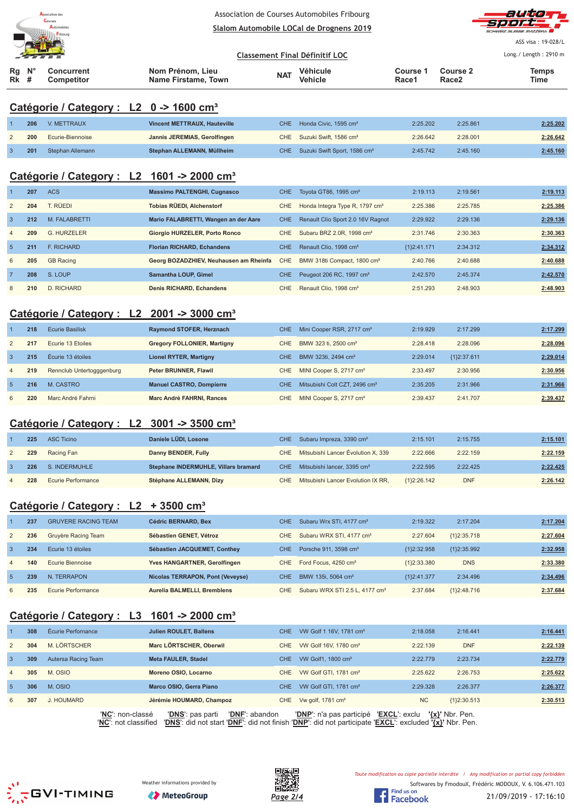



ASS visa : 19-028/L Long./ Length: 2910 m

#### <u>**Classement Final Définitif LOC**</u>

| $Rg \tN^{\circ}$ | Concurrent | Nom Prénom. Lieu    | <b>NAT</b> | Véhicule | Course 1 | <b>Course 2</b> | Temps |
|------------------|------------|---------------------|------------|----------|----------|-----------------|-------|
| $Rk$ #           | Competitor | Name Firstame, Town |            | Vehicle  | Race1    | Race2           | Time  |

#### **Catégorie / Category : L2 0 -> 1600 cm³**

| 206 | V. METTRAUX      | Vincent METTRAUX, Hauteville | CHE Honda Civic. 1595 cm <sup>3</sup>        | 2:25.202 | 2:25.861 | 2:25.202 |
|-----|------------------|------------------------------|----------------------------------------------|----------|----------|----------|
| 200 | Ecurie-Biennoise | Jannis JEREMIAS, Gerolfingen | CHE Suzuki Swift, 1586 cm <sup>3</sup>       | 2:26.642 | 2:28.001 | 2:26.642 |
| 201 | Stephan Allemann | Stephan ALLEMANN, Müllheim   | CHE Suzuki Swift Sport, 1586 cm <sup>3</sup> | 2:45.742 | 2:45.160 | 2:45.160 |

#### **Catégorie / Category : L2 1601 -> 2000 cm³**

|                | 207 | <b>ACS</b>        | <b>Massimo PALTENGHI, Cugnasco</b>     | CHE.       | Tovota GT86, 1995 cm <sup>3</sup>          | 2:19.113    | 2:19.561 | 2:19.113 |
|----------------|-----|-------------------|----------------------------------------|------------|--------------------------------------------|-------------|----------|----------|
| $\overline{2}$ | 204 | T. RÜEDI          | Tobias RÜEDI, Alchenstorf              | CHE.       | Honda Integra Type R, 1797 cm <sup>3</sup> | 2:25.386    | 2:25.785 | 2:25.386 |
| $\overline{3}$ | 212 | M. FALABRETTI     | Mario FALABRETTI, Wangen an der Aare   | <b>CHE</b> | Renault Clio Sport 2.0 16V Ragnot          | 2:29.922    | 2:29.136 | 2:29.136 |
| $\overline{4}$ | 209 | G. HURZELER       | <b>Giorgio HURZELER, Porto Ronco</b>   | CHE.       | Subaru BRZ 2.0R, 1998 cm <sup>3</sup>      | 2:31.746    | 2:30.363 | 2:30.363 |
| -5             | 211 | <b>F. RICHARD</b> | <b>Florian RICHARD, Echandens</b>      | CHE.       | Renault Clio, 1998 cm <sup>3</sup>         | {1}2:41.171 | 2:34.312 | 2:34.312 |
| 6              | 205 | <b>GB Racing</b>  | Georg BOZADZHIEV, Neuhausen am Rheinfa | <b>CHE</b> | BMW 318ti Compact, 1800 cm <sup>3</sup>    | 2:40.766    | 2:40.688 | 2:40.688 |
| $\overline{7}$ | 208 | S. LOUP           | <b>Samantha LOUP, Gimel</b>            | CHE.       | Peugeot 206 RC, 1997 cm <sup>3</sup>       | 2:42.570    | 2:45.374 | 2:42.570 |
| 8              | 210 | D. RICHARD        | <b>Denis RICHARD, Echandens</b>        | CHE.       | Renault Clio, 1998 cm <sup>3</sup>         | 2:51.293    | 2:48.903 | 2:48.903 |

# **Catégorie / Category : L2 2001 -> 3000 cm³**

|                | 218 | <b>Ecurie Basilisk</b>    | Raymond STOFER, Herznach           | CHE. | Mini Cooper RSR, 2717 cm <sup>3</sup>     | 2:19.929 | 2:17.299      | 2:17.299 |
|----------------|-----|---------------------------|------------------------------------|------|-------------------------------------------|----------|---------------|----------|
| 2              | 217 | Ecurie 13 Etoiles         | <b>Gregory FOLLONIER, Martigny</b> | CHE. | BMW 323 ti, 2500 cm <sup>3</sup>          | 2:28.418 | 2:28.096      | 2:28.096 |
| 3              | 215 | Écurie 13 étoiles         | <b>Lionel RYTER, Martigny</b>      | CHE. | BMW 323ti, 2494 cm <sup>3</sup>           | 2:29.014 | ${12:37.611}$ | 2:29.014 |
| $\overline{4}$ | 219 | Rennclub Untertogggenburg | Peter BRUNNER, Flawil              | CHE  | MINI Cooper S, 2717 cm <sup>3</sup>       | 2:33.497 | 2:30.956      | 2:30.956 |
| $\overline{5}$ | 216 | M. CASTRO                 | <b>Manuel CASTRO, Dompierre</b>    | CHE. | Mitsubishi Colt CZT, 2496 cm <sup>3</sup> | 2:35.205 | 2:31.966      | 2:31.966 |
| 6              | 220 | Marc André Fahrni         | Marc André FAHRNI, Rances          | CHE. | MINI Cooper S, 2717 cm <sup>3</sup>       | 2:39.437 | 2:41.707      | 2:39.437 |

#### **Catégorie / Category : L2 3001 -> 3500 cm³**

| 225 | ASC Ticino         | Daniele LÜDI, Losone                 |  | 2:15.101                                                                                                                                                                    | 2:15.755   | 2:15.101 |
|-----|--------------------|--------------------------------------|--|-----------------------------------------------------------------------------------------------------------------------------------------------------------------------------|------------|----------|
| 229 | Racing Fan         | Danny BENDER, Fully                  |  | 2:22.666                                                                                                                                                                    | 2:22.159   | 2:22.159 |
| 226 | S. INDERMUHLE      | Stephane INDERMUHLE, Villars bramard |  | 2:22.595                                                                                                                                                                    | 2:22.425   | 2:22.425 |
| 228 | Ecurie Performance | Stéphane ALLEMANN, Dizy              |  | ${12:26.142}$                                                                                                                                                               | <b>DNF</b> | 2:26.142 |
|     |                    |                                      |  | CHE Subaru Impreza, 3390 cm <sup>3</sup><br>CHE Mitsubishi Lancer Évolution X, 339<br>CHE Mitsubishi lancer, 3395 cm <sup>3</sup><br>CHE Mitsubishi Lancer Evolution IX RR, |            |          |

### **Catégorie / Category : L2 + 3500 cm³**

|                | 237 | <b>GRUYERE RACING TEAM</b> | Cédric BERNARD, Bex              | CHE. | Subaru Wrx STI, 4177 cm <sup>3</sup>       | 2:19.322      | 2:17.204      | 2:17.204 |
|----------------|-----|----------------------------|----------------------------------|------|--------------------------------------------|---------------|---------------|----------|
| 2              | 236 | Gruyère Racing Team        | Sébastien GENET, Vétroz          | CHE. | Subaru WRX STI, 4177 cm <sup>3</sup>       | 2:27.604      | ${1}2:35.718$ | 2:27.604 |
| -3             | 234 | Ecurie 13 étoiles          | Sébastien JACQUEMET, Conthey     | CHE. | Porsche 911, 3598 cm <sup>3</sup>          | ${1}2:32.958$ | ${12:35.992}$ | 2:32.958 |
| $\overline{4}$ | 140 | Ecurie Biennoise           | Yves HANGARTNER, Gerolfingen     | CHE. | Ford Focus, 4250 cm <sup>3</sup>           | ${1}2:33.380$ | <b>DNS</b>    | 2:33.380 |
| -5             | 239 | N. TERRAPON                | Nicolas TERRAPON, Pont (Veveyse) | CHE. | BMW 135i, 5064 cm <sup>3</sup>             | {1}2:41.377   | 2:34.496      | 2:34.496 |
| 6              | 235 | Ecurie Performance         | Aurelia BALMELLI, Bremblens      | CHE. | Subaru WRX STI 2.5 L, 4177 cm <sup>3</sup> | 2:37.684      | ${1}2:48.716$ | 2:37.684 |

#### **Catégorie / Category : L3 1601 -> 2000 cm³**

|                | 308 | Écurie Perfornance  | <b>Julien ROULET, Ballens</b> |                       | <b>CHE</b> | VW Golf 1 16V, 1781 cm <sup>3</sup> | 2:18.058      | 2:16.441            | 2:16.441 |
|----------------|-----|---------------------|-------------------------------|-----------------------|------------|-------------------------------------|---------------|---------------------|----------|
| 2              | 304 | M. LÖRTSCHER        | Marc LÖRTSCHER, Oberwil       |                       | <b>CHE</b> | VW Golf 16V, 1780 cm <sup>3</sup>   | 2:22.139      | <b>DNF</b>          | 2:22.139 |
| $\overline{3}$ | 309 | Autersa Racing Team | <b>Meta FAULER, Stadel</b>    |                       | CHE.       | VW Golf1, 1800 cm <sup>3</sup>      | 2:22.779      | 2:23.734            | 2:22.779 |
| $\overline{4}$ | 305 | M. OSIO             | Moreno OSIO, Locarno          |                       | <b>CHE</b> | VW Golf GTI, 1781 cm <sup>3</sup>   | 2:25.622      | 2:26.753            | 2:25.622 |
| -5             | 306 | M. OSIO             | Marco OSIO, Gerra Piano       |                       | CHE.       | VW Golf GTI, 1781 cm <sup>3</sup>   | 2:29.328      | 2:26.377            | 2:26.377 |
| 6              | 307 | J. HOUMARD          | Jérémie HOUMARD, Champoz      |                       |            | CHE Vw golf, 1781 $\text{cm}^3$     | <b>NC</b>     | ${1}2:30.513$       | 2:30.513 |
|                |     | 'NC': non-classé    | 'DNS': pas parti              | <b>'DNF':</b> abandon |            | 'DNP': n'a pas participé            | 'EXCL': exclu | $\{x\}$ ' Nbr. Pen. |          |

'**NC**': not classified '**DNS**': did not start '**DNF**': did not finish '**DNP**': did not participate '**EXCL**': excluded **'{x}'** Nbr. Pen.





Toute modification ou copie partielle interdite / Any modification or partial copy forbidden

Softwares by FmodouX, Frédéric MODOUX, V. 6.106.471.103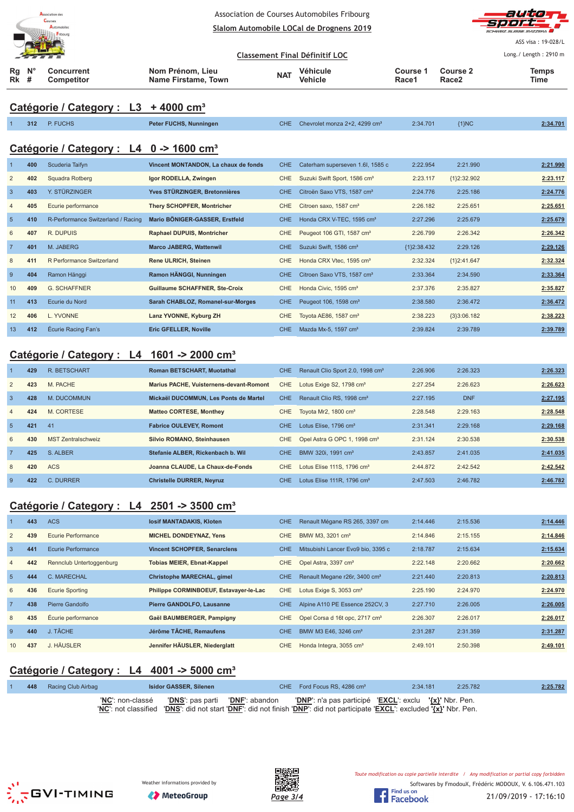|                  |                     | Association de:                                        |                                         |            | Association de Courses Automobiles Fribourg  |                   |                          |                       |
|------------------|---------------------|--------------------------------------------------------|-----------------------------------------|------------|----------------------------------------------|-------------------|--------------------------|-----------------------|
|                  |                     | Courses<br><b>Fribourg</b>                             |                                         |            | Slalom Automobile LOCal de Drognens 2019     |                   |                          |                       |
|                  |                     |                                                        |                                         |            |                                              |                   |                          | ASS visa: 19-028/L    |
|                  |                     |                                                        |                                         |            | <b>Classement Final Définitif LOC</b>        |                   |                          | Long./ Length: 2910 m |
| Rg<br>Rk         | N <sup>c</sup><br># | Concurrent<br>Competitor                               | Nom Prénom, Lieu<br>Name Firstame, Town | <b>NAT</b> | <b>Véhicule</b><br>Vehicle                   | Course 1<br>Race1 | <b>Course 2</b><br>Race2 | <b>Temps</b><br>Time  |
|                  |                     | Catégorie / Category : L3 + 4000 cm <sup>3</sup>       |                                         |            |                                              |                   |                          |                       |
|                  | 312                 | P. FUCHS                                               | Peter FUCHS, Nunningen                  | <b>CHE</b> | Chevrolet monza 2+2, 4299 cm <sup>3</sup>    | 2:34.701          | ${1}NC$                  | 2:34.701              |
|                  |                     |                                                        |                                         |            |                                              |                   |                          |                       |
|                  |                     | Catégorie / Category : L4 0 -> 1600 cm <sup>3</sup>    |                                         |            |                                              |                   |                          |                       |
| -1               | 400                 | Scuderia Taifyn                                        | Vincent MONTANDON, La chaux de fonds    | <b>CHE</b> | Caterham superseven 1.6I, 1585 c             | 2:22.954          | 2:21.990                 | 2:21.990              |
| $\overline{2}$   | 402                 | Squadra Rotberg                                        | Igor RODELLA, Zwingen                   | <b>CHE</b> | Suzuki Swift Sport, 1586 cm <sup>3</sup>     | 2:23.117          | {1}2:32.902              | 2:23.117              |
| $\overline{3}$   | 403                 | Y. STÜRZINGER                                          | Yves STÜRZINGER, Bretonnières           | <b>CHE</b> | Citroën Saxo VTS, 1587 cm <sup>3</sup>       | 2:24.776          | 2:25.186                 | 2:24.776              |
| $\overline{4}$   | 405                 | Ecurie performance                                     | <b>Thery SCHOPFER, Montricher</b>       | <b>CHE</b> | Citroen saxo, 1587 cm <sup>3</sup>           | 2:26.182          | 2:25.651                 | 2:25.651              |
| $\overline{5}$   | 410                 | R-Performance Switzerland / Racing                     | Mario BÖNIGER-GASSER, Erstfeld          | <b>CHE</b> | Honda CRX V-TEC, 1595 cm <sup>3</sup>        | 2:27.296          | 2:25.679                 | 2:25.679              |
| 6                | 407                 | R. DUPUIS                                              | <b>Raphael DUPUIS, Montricher</b>       | <b>CHE</b> | Peugeot 106 GTI, 1587 cm <sup>3</sup>        | 2:26.799          | 2:26.342                 | 2:26.342              |
| $\overline{7}$   | 401                 | M. JABERG                                              | <b>Marco JABERG, Wattenwil</b>          | <b>CHE</b> | Suzuki Swift, 1586 cm <sup>3</sup>           | {1}2:38.432       | 2:29.126                 | 2:29.126              |
| $\,$ 8 $\,$      | 411                 | R Performance Switzerland                              | Rene ULRICH, Steinen                    | <b>CHE</b> | Honda CRX Vtec, 1595 cm <sup>3</sup>         | 2:32.324          | ${1}2:41.647$            | 2:32.324              |
| 9                | 404                 | Ramon Hänggi                                           | Ramon HÄNGGI, Nunningen                 | <b>CHE</b> | Citroen Saxo VTS, 1587 cm <sup>3</sup>       | 2:33.364          | 2:34.590                 | 2:33.364              |
| 10               | 409                 | <b>G. SCHAFFNER</b>                                    | <b>Guillaume SCHAFFNER, Ste-Croix</b>   | <b>CHE</b> | Honda Civic, 1595 cm <sup>3</sup>            | 2:37.376          | 2:35.827                 | 2:35.827              |
| 11               | 413                 | Ecurie du Nord                                         | Sarah CHABLOZ, Romanel sur-Morges       | <b>CHE</b> | Peugeot 106, 1598 cm <sup>3</sup>            | 2:38.580          | 2:36.472                 | 2:36.472              |
| 12               | 406                 | L. YVONNE                                              | Lanz YVONNE, Kyburg ZH                  | <b>CHE</b> | Toyota AE86, 1587 cm <sup>3</sup>            | 2:38.223          | ${3}3:06.182$            | 2:38.223              |
| 13               | 412                 | Écurie Racing Fan's                                    | <b>Eric GFELLER, Noville</b>            | <b>CHE</b> | Mazda Mx-5, 1597 cm <sup>3</sup>             | 2:39.824          | 2:39.789                 | 2:39.789              |
|                  |                     |                                                        |                                         |            |                                              |                   |                          |                       |
|                  |                     | Catégorie / Category : L4 1601 -> 2000 cm <sup>3</sup> |                                         |            |                                              |                   |                          |                       |
| $\mathbf{1}$     | 429                 | <b>R. BETSCHART</b>                                    | Roman BETSCHART, Muotathal              | <b>CHE</b> | Renault Clio Sport 2.0, 1998 cm <sup>3</sup> | 2:26.906          | 2:26.323                 | 2:26.323              |
| $\overline{2}$   | 423                 | M. PACHE                                               | Marius PACHE, Vuisternens-devant-Romont | <b>CHE</b> | Lotus Exige S2, 1798 cm <sup>3</sup>         | 2:27.254          | 2:26.623                 | 2:26.623              |
| $\mathbf{3}$     | 428                 | M. DUCOMMUN                                            | Mickaël DUCOMMUN, Les Ponts de Martel   | <b>CHE</b> | Renault Clio RS, 1998 cm <sup>3</sup>        | 2:27.195          | <b>DNF</b>               | 2:27.195              |
| $\overline{4}$   | 424                 | M. CORTESE                                             | <b>Matteo CORTESE, Monthey</b>          | <b>CHE</b> | Toyota Mr2, 1800 cm <sup>3</sup>             | 2:28.548          | 2:29.163                 | 2:28.548              |
| $\sqrt{5}$       | 421                 | 41                                                     | <b>Fabrice OULEVEY, Romont</b>          | CHE        | Lotus Elise, 1796 cm <sup>3</sup>            | 2:31.341          | 2:29.168                 | 2:29.168              |
| 6                | 430                 | <b>MST Zentralschweiz</b>                              | Silvio ROMANO, Steinhausen              | CHE        | Opel Astra G OPC 1, 1998 cm <sup>3</sup>     | 2:31.124          | 2:30.538                 | 2:30.538              |
| $\overline{7}$   | 425                 | S. ALBER                                               | Stefanie ALBER, Rickenbach b. Wil       | <b>CHE</b> | BMW 320i, 1991 cm <sup>3</sup>               | 2:43.857          | 2:41.035                 | 2:41.035              |
| 8                | 420                 | <b>ACS</b>                                             | Joanna CLAUDE, La Chaux-de-Fonds        | CHE        | Lotus Elise 111S, 1796 cm <sup>3</sup>       | 2:44.872          | 2:42.542                 | 2:42.542              |
| $\boldsymbol{9}$ | 422                 | C. DURRER                                              | <b>Christelle DURRER, Neyruz</b>        | CHE        | Lotus Elise 111R, 1796 cm <sup>3</sup>       | 2:47.503          | 2:46.782                 | 2:46.782              |
|                  |                     | Catégorie / Category : L4 2501 -> 3500 cm <sup>3</sup> |                                         |            |                                              |                   |                          |                       |
| 1                | 443                 | <b>ACS</b>                                             | losif MANTADAKIS, Kloten                | <b>CHE</b> | Renault Mégane RS 265, 3397 cm               | 2:14.446          | 2:15.536                 | 2:14.446              |
| $\overline{c}$   | 439                 | <b>Ecurie Performance</b>                              | MICHEL DONDEYNAZ, Yens                  | CHE        | BMW M3, 3201 cm <sup>3</sup>                 | 2:14.846          | 2:15.155                 | 2:14.846              |
| $\mathbf{3}$     | 441                 | Ecurie Performance                                     | <b>Vincent SCHOPFER, Senarclens</b>     | <b>CHE</b> | Mitsubishi Lancer Evo9 bio, 3395 c           | 2:18.787          | 2:15.634                 | 2:15.634              |
| 4                | 442                 | Rennclub Untertoggenburg                               | <b>Tobias MEIER, Ebnat-Kappel</b>       | <b>CHE</b> | Opel Astra, 3397 cm <sup>3</sup>             | 2:22.148          | 2:20.662                 | 2:20.662              |
|                  |                     |                                                        |                                         |            |                                              |                   |                          |                       |

|    | 442 | Rennclub Untertoggenburg | <b>Tobias MEIER, Ebnat-Kappel</b>      |     | CHE Opel Astra, 3397 cm <sup>3</sup>           | 2:22.148 | 2:20.662 | 2:20.662 |
|----|-----|--------------------------|----------------------------------------|-----|------------------------------------------------|----------|----------|----------|
| ಿ  | 444 | C. MARECHAL              | <b>Christophe MARECHAL, gimel</b>      | CHE | Renault Megane r26r, 3400 cm <sup>3</sup>      | 2:21.440 | 2:20.813 | 2:20.813 |
|    | 436 | <b>Ecurie Sporting</b>   | Philippe CORMINBOEUF, Estavayer-le-Lac | CHE | Lotus Exige S, 3053 cm <sup>3</sup>            | 2:25.190 | 2:24.970 | 2:24.970 |
|    | 438 | Pierre Gandolfo          | Pierre GANDOLFO, Lausanne              | CHE | Alpine A110 PE Essence 252CV, 3                | 2:27.710 | 2:26.005 | 2:26.005 |
|    | 435 | Écurie performance       | Gaël BAUMBERGER, Pampigny              |     | CHE Opel Corsa d 16t opc, 2717 cm <sup>3</sup> | 2:26.307 | 2:26.017 | 2:26.017 |
|    | 440 | . TÂCHE                  | Jérôme TÂCHE, Remaufens                | CHE | BMW M3 E46, 3246 cm <sup>3</sup>               | 2:31.287 | 2:31.359 | 2:31.287 |
| 10 | 437 | I. HÄUSLER               | Jennifer HÄUSLER, Niederglatt          | CHE | Honda Integra, 3055 cm <sup>3</sup>            | 2:49.101 | 2:50.398 | 2:49.101 |

# **Catégorie / Category : L4 4001 -> 5000 cm³**

|  | 448 Racing Club Airbag |                           | Isidor GASSER, Silenen                          |  | CHE Ford Focus RS, 4286 cm <sup>3</sup>                                                                                                                                               | 2:34.181 | 2:25.782 | 2:25.782 |
|--|------------------------|---------------------------|-------------------------------------------------|--|---------------------------------------------------------------------------------------------------------------------------------------------------------------------------------------|----------|----------|----------|
|  |                        | ' <b>NC</b> ': non-classé | <b>'DNS'</b> : pas parti <b>'DNF'</b> : abandon |  | 'DNP': n'a pas participé 'EXCL': exclu '{x}' Nbr. Pen.<br>'NC': not classified 'DNS': did not start 'DNF': did not finish 'DNP': did not participate 'EXCL': excluded '{x}' Nbr. Pen. |          |          |          |





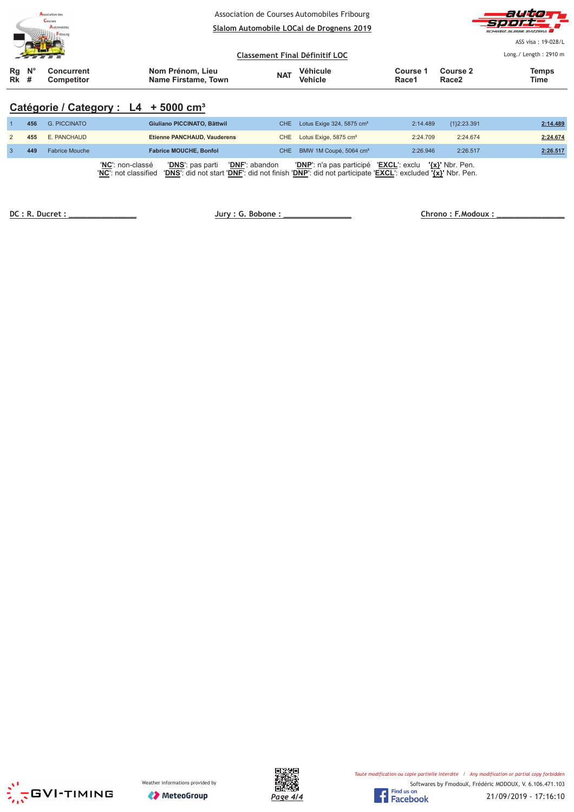| <b>Association des</b><br>Courses<br>Automobiles<br>Fribourg |  |                                 |                                         |                                       | Association de Courses Automobiles Fribourg<br>Slalom Automobile LOCal de Drognens 2019 |                   |                   | autor<br>SCHWEIZ SUISSE SVIZZEDA            |
|--------------------------------------------------------------|--|---------------------------------|-----------------------------------------|---------------------------------------|-----------------------------------------------------------------------------------------|-------------------|-------------------|---------------------------------------------|
|                                                              |  |                                 |                                         | <b>Classement Final Définitif LOC</b> |                                                                                         |                   |                   | ASS visa: 19-028/L<br>Long./ Length: 2910 m |
| $Rg$ $N^{\circ}$<br>$Rk$ #                                   |  | Concurrent<br><b>Competitor</b> | Nom Prénom, Lieu<br>Name Firstame, Town | <b>NAT</b>                            | Véhicule<br><b>Vehicle</b>                                                              | Course 1<br>Race1 | Course 2<br>Race2 | <b>Temps</b><br>Time                        |

# Catégorie / Category : L4 + 5000 cm<sup>3</sup>

| 456 | <b>G. PICCINATO</b>   | Giuliano PICCINATO, Bättwil                                                                                                                                                                      | CHE. | Lotus Exige $324, 5875$ cm <sup>3</sup>                | 2:14.489 | ${1}2:23.391$ | 2:14.489 |
|-----|-----------------------|--------------------------------------------------------------------------------------------------------------------------------------------------------------------------------------------------|------|--------------------------------------------------------|----------|---------------|----------|
| 455 | E. PANCHAUD           | Etienne PANCHAUD, Vauderens                                                                                                                                                                      | CHE  | Lotus Exige, 5875 cm <sup>3</sup>                      | 2:24.709 | 2:24.674      | 2:24.674 |
| 449 | <b>Fabrice Mouche</b> | <b>Fabrice MOUCHE, Bonfol</b>                                                                                                                                                                    |      | CHE BMW 1M Coupé, 5064 cm <sup>3</sup>                 | 2:26.946 | 2:26.517      | 2:26.517 |
|     |                       | <b>'DNS</b> ': pas parti<br>'DNF': abandon<br>'NC': non-classé<br>'DNS': did not start 'DNF': did not finish 'DNP': did not participate 'EXCL': excluded '{x}' Nbr. Pen.<br>'NC': not classified |      | 'DNP': n'a pas participé 'EXCL': exclu '{x}' Nbr. Pen. |          |               |          |

 **!!!!!!!!!!!!!!! "#\$%** 

 $Chrono : F. Modoux :$ </u>





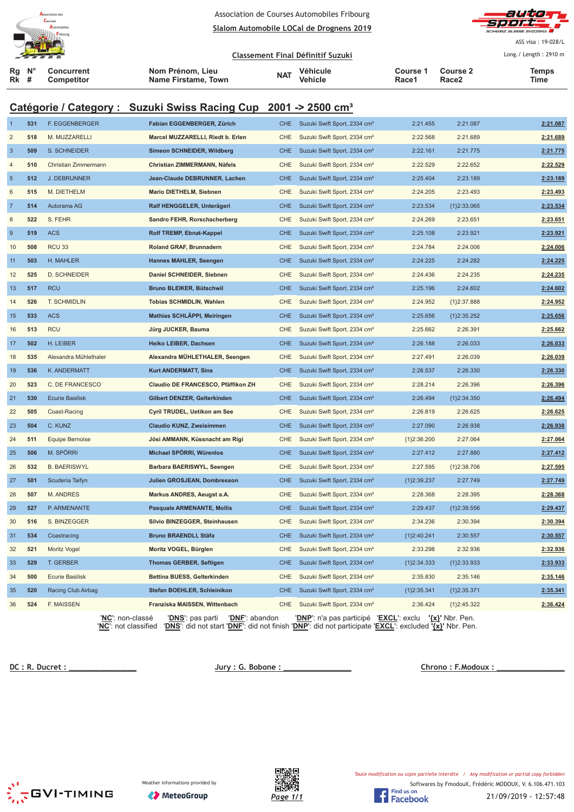



ASS visa : 19-028/L Long./ Length: 2910 m

<u>**Classement Final Définitif Suzuki**</u> **Rg Rk N° # Concurrent Competitor Nom Prénom, Lieu Name Firstame, Town Véhicule Vehicle Course 1 Race1 Course 2 Race2 Temps NAT Vehicle The Course Figure 2 The Vehicle The Race 2 Time** 

# **Catégorie / Category : Suzuki Swiss Racing Cup 2001 -> 2500 cm³**

| $\mathbf{1}$   | 531 | F. EGGENBERGER            | Fabian EGGENBERGER, Zürich                  | <b>CHE</b> | Suzuki Swift Sport, 2334 cm <sup>3</sup>        | 2:21.455      | 2:21.087        | 2:21.087 |
|----------------|-----|---------------------------|---------------------------------------------|------------|-------------------------------------------------|---------------|-----------------|----------|
| $\overline{2}$ | 518 | M. MUZZARELLI             | Marcel MUZZARELLI, Riedt b. Erlen           | CHE        | Suzuki Swift Sport, 2334 cm <sup>3</sup>        | 2:22.568      | 2:21.689        | 2:21.689 |
| $\mathbf{3}$   | 509 | S. SCHNEIDER              | Simeon SCHNEIDER, Wildberg                  | <b>CHE</b> | Suzuki Swift Sport, 2334 cm <sup>3</sup>        | 2:22.161      | 2:21.775        | 2:21.775 |
| $\overline{4}$ | 510 | Christian Zimmermann      | Christian ZIMMERMANN, Näfels                | CHE        | Suzuki Swift Sport, 2334 cm <sup>3</sup>        | 2:22.529      | 2:22.652        | 2:22.529 |
| $\sqrt{5}$     | 512 | <b>J. DEBRUNNER</b>       | Jean-Claude DEBRUNNER, Lachen               | <b>CHE</b> | Suzuki Swift Sport, 2334 cm <sup>3</sup>        | 2:25.404      | 2:23.189        | 2:23.189 |
| $\,6$          | 515 | M. DIETHELM               | Mario DIETHELM, Siebnen                     | CHE        | Suzuki Swift Sport, 2334 cm <sup>3</sup>        | 2:24.205      | 2:23.493        | 2:23.493 |
| $\overline{7}$ | 514 | Autorama AG               | Ralf HENGGELER, Unterägeri                  | <b>CHE</b> | Suzuki Swift Sport, 2334 cm <sup>3</sup>        | 2:23.534      | ${1}2:33.065$   | 2:23.534 |
| $\,$ 8 $\,$    | 522 | S. FEHR                   | Sandro FEHR, Rorschacherberg                | CHE        | Suzuki Swift Sport, 2334 cm <sup>3</sup>        | 2:24.269      | 2:23.651        | 2:23.651 |
| $\overline{9}$ | 519 | <b>ACS</b>                | Rolf TREMP, Ebnat-Kappel                    | <b>CHE</b> | Suzuki Swift Sport, 2334 cm <sup>3</sup>        | 2:25.108      | 2:23.921        | 2:23.921 |
| 10             | 508 | RCU <sub>33</sub>         | Roland GRAF, Brunnadern                     | CHE        | Suzuki Swift Sport, 2334 cm <sup>3</sup>        | 2:24.784      | 2:24.006        | 2:24.006 |
| 11             | 503 | H. MAHLER                 | Hannes MAHLER, Seengen                      | <b>CHE</b> | Suzuki Swift Sport, 2334 cm <sup>3</sup>        | 2:24.225      | 2:24.282        | 2:24.225 |
| 12             | 525 | <b>D. SCHNEIDER</b>       | Daniel SCHNEIDER, Siebnen                   | CHE        | Suzuki Swift Sport, 2334 cm <sup>3</sup>        | 2:24.436      | 2:24.235        | 2:24.235 |
| 13             | 517 | <b>RCU</b>                | Bruno BLEIKER, Bütschwil                    | <b>CHE</b> | Suzuki Swift Sport, 2334 cm <sup>3</sup>        | 2:25.196      | 2:24.602        | 2:24.602 |
| 14             | 526 | T. SCHMIDLIN              | Tobias SCHMIDLIN, Wahlen                    | <b>CHE</b> | Suzuki Swift Sport, 2334 cm <sup>3</sup>        | 2:24.952      | ${1}2:37.888$   | 2:24.952 |
| 15             | 533 | <b>ACS</b>                | Mathias SCHLÄPPI, Meiringen                 | <b>CHE</b> | Suzuki Swift Sport, 2334 cm <sup>3</sup>        | 2:25.656      | ${1}2:35.252$   | 2:25.656 |
| 16             | 513 | <b>RCU</b>                | Jürg JUCKER, Bauma                          | <b>CHE</b> | Suzuki Swift Sport, 2334 cm <sup>3</sup>        | 2:25.662      | 2:26.391        | 2:25.662 |
| 17             | 502 | H. LEIBER                 | Heiko LEIBER, Dachsen                       | <b>CHE</b> | Suzuki Swift Sport, 2334 cm <sup>3</sup>        | 2:26.188      | 2:26.033        | 2:26.033 |
| 18             | 535 | Alexandra Mühlethaler     | Alexandra MÜHLETHALER, Seengen              | CHE        | Suzuki Swift Sport, 2334 cm <sup>3</sup>        | 2:27.491      | 2:26.039        | 2:26.039 |
| 19             | 536 | K. ANDERMATT              | <b>Kurt ANDERMATT, Sins</b>                 | <b>CHE</b> | Suzuki Swift Sport, 2334 cm <sup>3</sup>        | 2:26.537      | 2:26.330        | 2:26.330 |
| 20             | 523 | C. DE FRANCESCO           | Claudio DE FRANCESCO, Pfäffikon ZH          | CHE        | Suzuki Swift Sport, 2334 cm <sup>3</sup>        | 2:28.214      | 2:26.396        | 2:26.396 |
| 21             | 530 | <b>Ecurie Basilisk</b>    | Gilbert DENZER, Gelterkinden                | <b>CHE</b> | Suzuki Swift Sport, 2334 cm <sup>3</sup>        | 2:26.494      | ${1}2:34.350$   | 2:26.494 |
| 22             | 505 | Coast-Racing              | Cyril TRUDEL, Uetikon am See                | CHE        | Suzuki Swift Sport, 2334 cm <sup>3</sup>        | 2:26.819      | 2:26.625        | 2:26.625 |
| 23             | 504 | C. KUNZ                   | Claudio KUNZ, Zweisimmen                    | <b>CHE</b> | Suzuki Swift Sport, 2334 cm <sup>3</sup>        | 2:27.090      | 2:26.938        | 2:26.938 |
| 24             | 511 | <b>Equipe Bernoise</b>    | Jösi AMMANN, Küssnacht am Rigi              | CHE        | Suzuki Swift Sport, 2334 cm <sup>3</sup>        | ${1}2:36.200$ | 2:27.064        | 2:27.064 |
| 25             | 506 | M. SPÖRRI                 | Michael SPÖRRI, Würenlos                    | <b>CHE</b> | Suzuki Swift Sport, 2334 cm <sup>3</sup>        | 2:27.412      | 2:27.880        | 2:27.412 |
| 26             | 532 | <b>B. BAERISWYL</b>       | Barbara BAERISWYL, Seengen                  | <b>CHE</b> | Suzuki Swift Sport, 2334 cm <sup>3</sup>        | 2:27.595      | ${1}2:38.706$   | 2:27.595 |
| 27             | 501 | Scuderia Taifyn           | Julien GROSJEAN, Dombresson                 | <b>CHE</b> | Suzuki Swift Sport, 2334 cm <sup>3</sup>        | ${1}2:39.237$ | 2:27.749        | 2:27.749 |
| 28             | 507 | <b>M. ANDRES</b>          | Markus ANDRES, Aeugst a.A.                  | <b>CHE</b> | Suzuki Swift Sport, 2334 cm <sup>3</sup>        | 2:28.368      | 2:28.395        | 2:28.368 |
| 29             | 527 | P. ARMENANTE              | <b>Pasquale ARMENANTE, Mollis</b>           | <b>CHE</b> | Suzuki Swift Sport, 2334 cm <sup>3</sup>        | 2:29.437      | ${1}2:39.556$   | 2:29.437 |
| 30             | 516 | S. BINZEGGER              | Silvio BINZEGGER, Steinhausen               | CHE        | Suzuki Swift Sport, 2334 cm <sup>3</sup>        | 2:34.236      | 2:30.394        | 2:30.394 |
| 31             | 534 | Coastracing               | <b>Bruno BRAENDLI, Stäfa</b>                | <b>CHE</b> | Suzuki Swift Sport, 2334 cm <sup>3</sup>        | {1}2:40.241   | 2:30.557        | 2:30.557 |
| 32             | 521 | Moritz Vogel              | Moritz VOGEL, Bürglen                       | CHE        | Suzuki Swift Sport, 2334 cm <sup>3</sup>        | 2:33.298      | 2:32.936        | 2:32.936 |
| 33             | 529 | T. GERBER                 | <b>Thomas GERBER, Seftigen</b>              | <b>CHE</b> | Suzuki Swift Sport, 2334 cm <sup>3</sup>        | ${1}2:34.333$ | ${1}2:33.933$   | 2:33.933 |
| 34             | 500 | <b>Ecurie Basilisk</b>    | Bettina BUESS, Gelterkinden                 | CHE        | Suzuki Swift Sport, 2334 cm <sup>3</sup>        | 2:35.830      | 2:35.146        | 2:35.146 |
| 35             | 520 | Racing Club Airbag        | Stefan BOEHLER, Schleinikon                 | <b>CHE</b> | Suzuki Swift Sport, 2334 cm <sup>3</sup>        | ${1}2:35.341$ | ${1}2:35.371$   | 2:35.341 |
| 36             | 524 | F. MAISSEN                | Franziska MAISSEN, Wittenbach               | <b>CHE</b> | Suzuki Swift Sport, 2334 cm <sup>3</sup>        | 2:36.424      | ${1}2:45.322$   | 2:36.424 |
|                |     | ' <u>NC</u> ': non-classé | 'DNF': abandon<br>' <u>DNS</u> ': pas parti |            | ' <u>DNP</u> ': n'a pas participé 'EXCL': exclu |               | '{x}' Nbr. Pen. |          |

'**NC**': not classified '**DNS**': did not start '**DNF**': did not finish '**DNP**': did not participate '**EXCL**': excluded **'{x}'** Nbr. Pen.

 **!" ############### \$%&!'** 

 $Chrono: F. Modoux:$ 





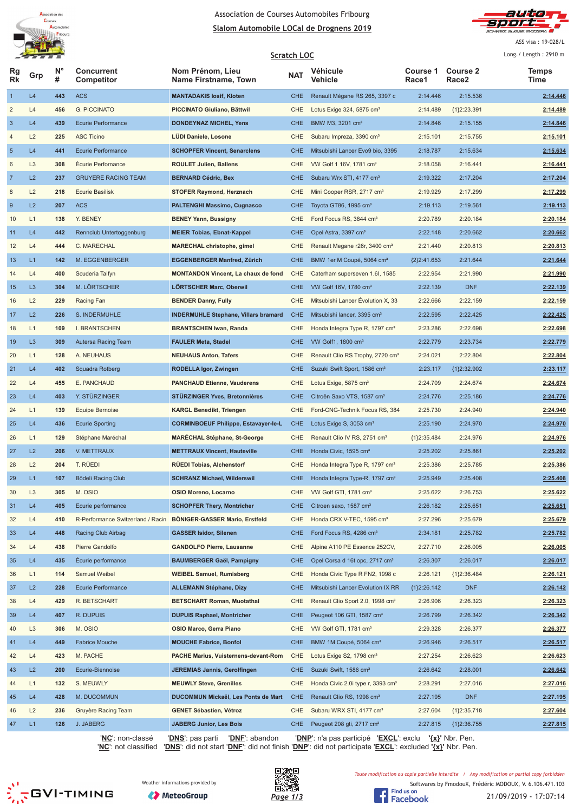



ASS visa : 19-028/L

**Scratch LOC** Long./ Length: 2910 m **Rg Rk N° # Concurrent Competitor Nom Prénom, Lieu** Grp **1 Concertent Communisment Communisment Communisment MAT**<br> **Time Race Properties Time Name Firstname, Town NAT** Vehicle **Race Race Properties Time Véhicule Vehicle Course 1 Race1 Course 2 Race2 Temps** L4 **443** ACS **MANTADAKIS Iosif, Kloten** CHE Renault Mégane RS 265, 3397 c 2:14.446 2:15.536 **2:14.446** L4 **456** G. PICCINATO **PICCINATO Giuliano, Bättwil** CHE Lotus Exige 324, 5875 cm³ 2:14.489 {1}2:23.391 **2:14.489** L4 **439** Ecurie Performance **DONDEYNAZ MICHEL, Yens** CHE BMW M3, 3201 cm³ 2:14.846 2:15.155 **2:14.846** L2 **225** ASC Ticino **LÜDI Daniele, Losone** CHE Subaru Impreza, 3390 cm³ 2:15.101 2:15.755 **2:15.101** L4 **441** Ecurie Performance **SCHOPFER Vincent, Senarclens** CHE Mitsubishi Lancer Evo9 bio, 3395 2:18.787 2:15.634 **2:15.634** L3 **308** Écurie Perfornance **ROULET Julien, Ballens** CHE VW Golf 1 16V, 1781 cm³ 2:18.058 2:16.441 **2:16.441** L2 **237** GRUYERE RACING TEAM **BERNARD Cédric, Bex** CHE Subaru Wrx STI, 4177 cm³ 2:19.322 2:17.204 **2:17.204** 8 L2 218 Ecurie Basilisk **STOFER Raymond, Herznach** CHE Mini Cooper RSR, 2717 cm<sup>3</sup> 2:17.299 2:17.299 2:17.299 L2 **207** ACS **PALTENGHI Massimo, Cugnasco** CHE Toyota GT86, 1995 cm³ 2:19.113 2:19.561 **2:19.113** L1 **138** Y. BENEY **BENEY Yann, Bussigny** CHE Ford Focus RS, 3844 cm³ 2:20.789 2:20.184 **2:20.184** L4 **442** Rennclub Untertoggenburg **MEIER Tobias, Ebnat-Kappel** CHE Opel Astra, 3397 cm³ 2:22.148 2:20.662 **2:20.662** L4 **444** C. MARECHAL **MARECHAL christophe, gimel** CHE Renault Megane r26r, 3400 cm³ 2:21.440 2:20.813 **2:20.813** L1 **142** M. EGGENBERGER **EGGENBERGER Manfred, Zürich** CHE BMW 1er M Coupé, 5064 cm³ {2}2:41.653 2:21.644 **2:21.644** L4 **400** Scuderia Taifyn **MONTANDON Vincent, La chaux de fond** CHE Caterham superseven 1.6I, 1585 2:22.954 2:21.990 **2:21.990** L3 **304** M. LÖRTSCHER **LÖRTSCHER Marc, Oberwil** CHE VW Golf 16V, 1780 cm³ 2:22.139 DNF **2:22.139** L2 **229** Racing Fan **BENDER Danny, Fully** CHE Mitsubishi Lancer Évolution X, 33 2:22.666 2:22.159 **2:22.159** L2 **226** S. INDERMUHLE **INDERMUHLE Stephane, Villars bramard** CHE Mitsubishi lancer, 3395 cm³ 2:22.595 2:22.425 **2:22.425** L1 **109** I. BRANTSCHEN **BRANTSCHEN Iwan, Randa** CHE Honda Integra Type R, 1797 cm³ 2:23.286 2:22.698 **2:22.698** L3 **309** Autersa Racing Team **FAULER Meta, Stadel** CHE VW Golf1, 1800 cm³ 2:22.779 2:23.734 **2:22.779** L1 **128** A. NEUHAUS **NEUHAUS Anton, Tafers** CHE Renault Clio RS Trophy, 2720 cm³ 2:24.021 2:22.804 **2:22.804** 21 L4 **402** Squadra Rotberg **RODELLA Igor, Zwingen** CHE Suzuki Swift Sport, 1586 cm<sup>3</sup> 2:23.117 {1}2:32.902 **2:23.117**  L4 **455** E. PANCHAUD **PANCHAUD Etienne, Vauderens** CHE Lotus Exige, 5875 cm³ 2:24.709 2:24.674 **2:24.674** L4 **403** Y. STÜRZINGER **STÜRZINGER Yves, Bretonnières** CHE Citroën Saxo VTS, 1587 cm³ 2:24.776 2:25.186 **2:24.776** L1 **139** Equipe Bernoise **KARGL Benedikt, Triengen** CHE Ford-CNG-Technik Focus RS, 384 2:25.730 2:24.940 **2:24.940** L4 **436** Ecurie Sporting **CORMINBOEUF Philippe, Estavayer-le-L** CHE Lotus Exige S, 3053 cm³ 2:25.190 2:24.970 **2:24.970** 26 L1 **129** Stéphane Maréchal **MARÉCHAL Stéphane, St-George** CHE Renault Clio IV RS, 2751 cm<sup>3</sup> {1}2:35.484 2:24.976 **2:24.976**  L2 **206** V. METTRAUX **METTRAUX Vincent, Hauteville** CHE Honda Civic, 1595 cm³ 2:25.202 2:25.861 **2:25.202** L2 **204** T. RÜEDI **RÜEDI Tobias, Alchenstorf** CHE Honda Integra Type R, 1797 cm³ 2:25.386 2:25.785 **2:25.386** 29 L1 **107** Bödeli Racing Club **SCHRANZ Michael, Wilderswil** CHE Honda Integra Type-R, 1797 cm<sup>3</sup> 2:25.499 2:25.408 2:25.408 L3 **305** M. OSIO **OSIO Moreno, Locarno** CHE VW Golf GTI, 1781 cm³ 2:25.622 2:26.753 **2:25.622** 31 L4 **405** Ecurie performance **SCHOPFER Thery, Montricher** CHE Citroen saxo, 1587 cm<sup>a</sup> 2:26.182 2:25.651 2:25.651 32 L4 410 R-Performance Switzerland / Racin BÖNIGER-GASSER Mario, Erstfeld CHE Honda CRX V-TEC, 1595 cm<sup>3</sup> 2:27.296 2:25.679 2:25.679 L4 **448** Racing Club Airbag **GASSER Isidor, Silenen** CHE Ford Focus RS, 4286 cm³ 2:34.181 2:25.782 **2:25.782** L4 **438** Pierre Gandolfo **GANDOLFO Pierre, Lausanne** CHE Alpine A110 PE Essence 252CV, 2:27.710 2:26.005 **2:26.005** 35 L4 435 Écurie performance **BAUMBERGER Gaël, Pampigny** CHE Opel Corsa d 16t opc, 2717 cm<sup>3</sup> 2:26.307 2:26.017 2:26.017 L1 **114** Samuel Weibel **WEIBEL Samuel, Rumisberg** CHE Honda Civic Type R FN2, 1998 c 2:26.121 {1}2:36.484 **2:26.121** L2 **228** Ecurie Performance **ALLEMANN Stéphane, Dizy** CHE Mitsubishi Lancer Evolution IX RR {1}2:26.142 DNF **2:26.142** L4 **429** R. BETSCHART **BETSCHART Roman, Muotathal** CHE Renault Clio Sport 2.0, 1998 cm³ 2:26.906 2:26.323 **2:26.323** L4 **407** R. DUPUIS **DUPUIS Raphael, Montricher** CHE Peugeot 106 GTI, 1587 cm³ 2:26.799 2:26.342 **2:26.342** L3 **306** M. OSIO **OSIO Marco, Gerra Piano** CHE VW Golf GTI, 1781 cm³ 2:29.328 2:26.377 **2:26.377** L4 **449** Fabrice Mouche **MOUCHE Fabrice, Bonfol** CHE BMW 1M Coupé, 5064 cm³ 2:26.946 2:26.517 **2:26.517** L4 **423** M. PACHE **PACHE Marius, Vuisternens-devant-Rom** CHE Lotus Exige S2, 1798 cm³ 2:27.254 2:26.623 **2:26.623** L2 **200** Ecurie-Biennoise **JEREMIAS Jannis, Gerolfingen** CHE Suzuki Swift, 1586 cm³ 2:26.642 2:28.001 **2:26.642** L1 **132** S. MEUWLY **MEUWLY Steve, Grenilles** CHE Honda Civic 2.0i type r, 3393 cm³ 2:28.291 2:27.016 **2:27.016** L4 **428** M. DUCOMMUN **DUCOMMUN Mickaël, Les Ponts de Mart** CHE Renault Clio RS, 1998 cm³ 2:27.195 DNF **2:27.195** L2 **236** Gruyère Racing Team **GENET Sébastien, Vétroz** CHE Subaru WRX STI, 4177 cm³ 2:27.604 {1}2:35.718 **2:27.604** 47 L1 **126** J. JABERG **JABERG Junior, Les Bois** CHE Peugeot 208 gti, 2717 cm<sup>3</sup> 2:27.815 {1}2:36.755 2:27.815

'**NC**': non-classé '**DNS**': pas parti '**DNF**': abandon '**DNP**': n'a pas participé '**EXCL**': exclu **'{x}'** Nbr. Pen.

'**NC**': not classified '**DNS**': did not start '**DNF**': did not finish '**DNP**': did not participate '**EXCL**': excluded **'{x}'** Nbr. Pen.

 $\sum_{n=0}^{N}$ GVI-TIMING





Toute modification ou copie partielle interdite / Any modification or partial copy forbidden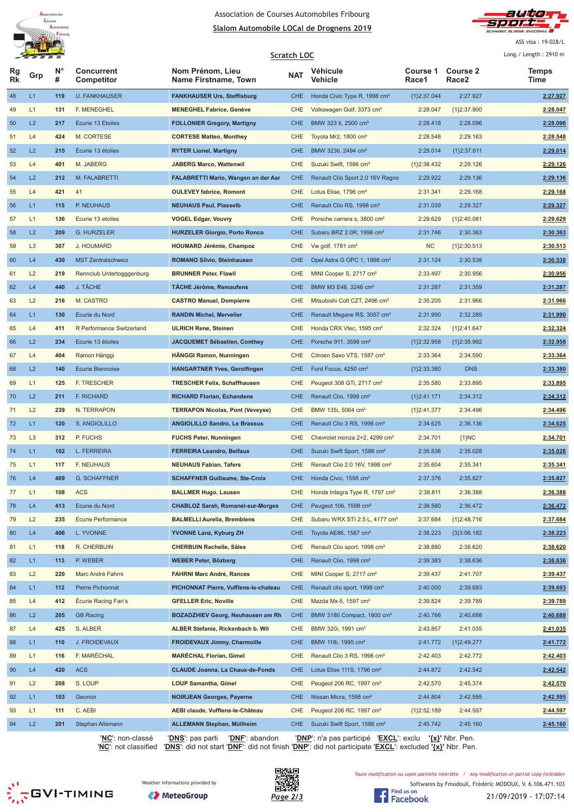



ASS visa : 19-028/L  $1 - 2040$ 

|          |                |                |                                 | Scratch LOC                              |            |                                            |                          |                          |                      |  |
|----------|----------------|----------------|---------------------------------|------------------------------------------|------------|--------------------------------------------|--------------------------|--------------------------|----------------------|--|
| ĸg<br>Rk | Grp            | <b>N°</b><br># | <b>Concurrent</b><br>Competitor | Nom Prénom, Lieu<br>Name Firstname, Town | <b>NAT</b> | Véhicule<br>Vehicle                        | <b>Course 1</b><br>Race1 | <b>Course 2</b><br>Race2 | <b>Temps</b><br>Time |  |
| 48       | L1             | 119            | <b>U. FANKHAUSER</b>            | <b>FANKHAUSER Urs, Steffisburg</b>       | <b>CHE</b> | Honda Civic Type R, 1998 cm <sup>3</sup>   | {1}2:37.044              | 2:27.927                 | 2:27.927             |  |
| 49       | L1             | 131            | <b>F. MENEGHEL</b>              | <b>MENEGHEL Fabrice, Genève</b>          | CHE        | Volkswagen Golf, 3373 cm <sup>3</sup>      | 2:28.047                 | ${1}2:37.900$            | 2:28.047             |  |
| 50       | L2             | 217            | Ecurie 13 Etoiles               | <b>FOLLONIER Gregory, Martigny</b>       | <b>CHE</b> | BMW 323 ti, 2500 cm <sup>3</sup>           | 2:28.418                 | 2:28.096                 | 2:28.096             |  |
| 51       | L4             | 424            | M. CORTESE                      | <b>CORTESE Matteo, Monthey</b>           | <b>CHE</b> | Toyota Mr2, 1800 cm <sup>3</sup>           | 2:28.548                 | 2:29.163                 | 2:28.548             |  |
| 52       | L2             | 215            | Écurie 13 étoiles               | <b>RYTER Lionel, Martigny</b>            | <b>CHE</b> | BMW 323ti, 2494 cm <sup>3</sup>            | 2:29.014                 | ${1}2:37.611$            | 2:29.014             |  |
| 53       | L4             | 401            | M. JABERG                       | <b>JABERG Marco, Wattenwil</b>           | <b>CHE</b> | Suzuki Swift, 1586 cm <sup>3</sup>         | {1}2:38.432              | 2:29.126                 | 2:29.126             |  |
| 54       | L2             | 212            | M. FALABRETTI                   | FALABRETTI Mario, Wangen an der Aar      | <b>CHE</b> | Renault Clio Sport 2.0 16V Ragno           | 2:29.922                 | 2:29.136                 | 2:29.136             |  |
| 55       | L4             | 421            | 41                              | <b>OULEVEY fabrice, Romont</b>           | CHE        | Lotus Elise, 1796 cm <sup>3</sup>          | 2:31.341                 | 2:29.168                 | 2:29.168             |  |
| 56       | L1             | 115            | P. NEUHAUS                      | <b>NEUHAUS Paul, Plasselb</b>            | <b>CHE</b> | Renault Clio RS, 1998 cm <sup>3</sup>      | 2:31.039                 | 2:29.327                 | 2:29.327             |  |
| 57       | L1             | 136            | Ecurie 13 etoiles               | <b>VOGEL Edgar, Vouvry</b>               | <b>CHE</b> | Porsche carrera s, 3800 cm <sup>3</sup>    | 2:29.629                 | ${1}2:40.081$            | 2:29.629             |  |
| 58       | L2             | 209            | <b>G. HURZELER</b>              | <b>HURZELER Giorgio, Porto Ronco</b>     | <b>CHE</b> | Subaru BRZ 2.0R, 1998 cm <sup>3</sup>      | 2:31.746                 | 2:30.363                 | 2:30.363             |  |
| 59       | L <sub>3</sub> | 307            | J. HOUMARD                      | <b>HOUMARD Jérémie, Champoz</b>          | CHE        | Vw golf, $1781 \text{ cm}^3$               | <b>NC</b>                | ${1}2:30.513$            | 2:30.513             |  |
| 60       | L4             | 430            | <b>MST Zentralschweiz</b>       | <b>ROMANO Silvio, Steinhausen</b>        | <b>CHE</b> | Opel Astra G OPC 1, 1998 cm <sup>3</sup>   | 2:31.124                 | 2:30.538                 | 2:30.538             |  |
| 61       | L2             | 219            | Rennclub Untertogggenburg       | <b>BRUNNER Peter, Flawil</b>             | CHE        | MINI Cooper S, 2717 cm <sup>3</sup>        | 2:33.497                 | 2:30.956                 | 2:30.956             |  |
| 62       | L4             | 440            | J. TÂCHE                        | <b>TÄCHE Jérôme, Remaufens</b>           | <b>CHE</b> | BMW M3 E46, 3246 cm <sup>3</sup>           | 2:31.287                 | 2:31.359                 | 2:31.287             |  |
| 63       | L2             | 216            | M. CASTRO                       | <b>CASTRO Manuel, Dompierre</b>          | <b>CHE</b> | Mitsubishi Colt CZT, 2496 cm <sup>3</sup>  | 2:35.205                 | 2:31.966                 | 2:31.966             |  |
| 64       | L1             | 130            | Ecurie du Nord                  | <b>RANDIN Michel, Mervelier</b>          | <b>CHE</b> | Renault Megane RS, 3057 cm <sup>3</sup>    | 2:31.990                 | 2:32.289                 | 2:31.990             |  |
| 65       | L4             | 411            | R Performance Switzerland       | <b>ULRICH Rene, Steinen</b>              | <b>CHE</b> | Honda CRX Vtec, 1595 cm <sup>3</sup>       | 2:32.324                 | ${1}2:41.647$            | 2:32.324             |  |
| 66       | L2             | 234            | Ecurie 13 étoiles               | JACQUEMET Sébastien, Conthey             | <b>CHE</b> | Porsche 911, 3598 cm <sup>3</sup>          | {1}2:32.958              | ${1}2:35.992$            | 2:32.958             |  |
| 67       | L4             | 404            | Ramon Hänggi                    | <b>HANGGI Ramon, Nunningen</b>           | <b>CHE</b> | Citroen Saxo VTS, 1587 cm <sup>3</sup>     | 2:33.364                 | 2:34.590                 | 2:33.364             |  |
| 68       | L2             | 140            | <b>Ecurie Biennoise</b>         | <b>HANGARTNER Yves, Gerolfingen</b>      | <b>CHE</b> | Ford Focus, 4250 cm <sup>3</sup>           | {1}2:33.380              | <b>DNS</b>               | 2:33.380             |  |
| 69       | L1             | 125            | F. TRESCHER                     | <b>TRESCHER Felix, Schaffhausen</b>      | <b>CHE</b> | Peugeot 308 GTi, 2717 cm <sup>3</sup>      | 2:35.580                 | 2:33.895                 | 2:33.895             |  |
| 70       | L2             | 211            | F. RICHARD                      | <b>RICHARD Florian, Echandens</b>        | <b>CHE</b> | Renault Clio, 1998 cm <sup>3</sup>         | ${1}2:41.171$            | 2:34.312                 | 2:34.312             |  |
| 71       | L2             | 239            | N. TERRAPON                     | <b>TERRAPON Nicolas, Pont (Veveyse)</b>  | CHE        | BMW 135i, 5064 cm <sup>3</sup>             | ${1}2:41.377$            | 2:34.496                 | 2:34.496             |  |
| 72       | L1             | 120            | S. ANGIOLILLO                   | <b>ANGIOLILLO Sandro, Le Brassus</b>     | <b>CHE</b> | Renault Clio 3 RS, 1998 cm <sup>3</sup>    | 2:34.625                 | 2:36.136                 | 2:34.625             |  |
| 73       | L <sub>3</sub> | 312            | P. FUCHS                        | <b>FUCHS Peter, Nunningen</b>            | <b>CHE</b> | Chevrolet monza 2+2, 4299 cm <sup>3</sup>  | 2:34.701                 | ${1}NC$                  | 2:34.701             |  |
| 74       | L1             | 102            | L. FERREIRA                     | <b>FERREIRA Leandro, Belfaux</b>         | <b>CHE</b> | Suzuki Swift Sport, 1586 cm <sup>3</sup>   | 2:35.836                 | 2:35.028                 | 2:35.028             |  |
| 75       | L1             | 117            | <b>F. NEUHAUS</b>               | <b>NEUHAUS Fabian, Tafers</b>            | CHE        | Renault Clio 2.0 16V, 1998 cm <sup>3</sup> | 2:35.604                 | 2:35.341                 | 2:35.341             |  |
| 76       | L4             | 409            | <b>G. SCHAFFNER</b>             | <b>SCHAFFNER Guillaume, Ste-Croix</b>    | CHE        | Honda Civic, 1595 cm <sup>3</sup>          | 2:37.376                 | 2:35.827                 | 2:35.827             |  |
| 77       | L1             | 108            | <b>ACS</b>                      | <b>BALLMER Hugo, Lausen</b>              | CHE        | Honda Integra Type R, 1797 cm <sup>3</sup> | 2:38.811                 | 2:36.388                 | 2:36.388             |  |
| 78       | L4             | 413            | Ecurie du Nord                  | <b>CHABLOZ Sarah, Romanel-sur-Morges</b> | <b>CHE</b> | Peugeot 106, 1598 cm <sup>3</sup>          | 2:38.580                 | 2:36.472                 | 2:36.472             |  |
| 79       | L2             | 235            | Ecurie Performance              | <b>BALMELLI Aurelia, Bremblens</b>       | CHE        | Subaru WRX STI 2.5 L, 4177 cm <sup>3</sup> | 2:37.684                 | ${1}2:48.716$            | 2:37.684             |  |
| 80       | L4             | 406            | L. YVONNE                       | <b>YVONNE Lanz, Kyburg ZH</b>            | <b>CHE</b> | Toyota AE86, 1587 cm <sup>3</sup>          | 2:38.223                 | {3}3:06.182              | 2:38.223             |  |
| 81       | L1             | 118            | R. CHERBUIN                     | <b>CHERBUIN Rachelle, Sâles</b>          | CHE        | Renault Clio sport, 1998 cm <sup>3</sup>   | 2:38.880                 | 2:38.620                 | 2:38.620             |  |
| 82       | L1             | 113            | P. WEBER                        | <b>WEBER Peter, Bözberg</b>              | <b>CHE</b> | Renault Clio, 1998 cm <sup>3</sup>         | 2:39.383                 | 2:38.636                 | 2:38.636             |  |
| 83       | L2             | 220            | Marc André Fahrni               | <b>FAHRNI Marc André, Rances</b>         | <b>CHE</b> | MINI Cooper S, 2717 cm <sup>3</sup>        | 2:39.437                 | 2:41.707                 | 2:39.437             |  |
| 84       | L1             | 112            | Pierre Pichonnat                | PICHONNAT Pierre, Vufflens-le-chateau    | <b>CHE</b> | Renault clio sport, 1998 cm <sup>3</sup>   | 2:40.000                 | 2:39.693                 | 2:39.693             |  |
| 85       | L4             | 412            | <b>Écurie Racing Fan's</b>      | <b>GFELLER Eric, Noville</b>             | CHE        | Mazda Mx-5, 1597 cm <sup>3</sup>           | 2:39.824                 | 2:39.789                 | 2:39.789             |  |
| 86       | L2             | 205            | <b>GB Racing</b>                | <b>BOZADZHIEV Georg, Neuhausen am Rh</b> | <b>CHE</b> | BMW 318ti Compact, 1800 cm <sup>3</sup>    | 2:40.766                 | 2:40.688                 | 2:40.688             |  |
| 87       | L4             | 425            | S. ALBER                        | ALBER Stefanie, Rickenbach b. Wil        | CHE        | BMW 320i, 1991 cm <sup>3</sup>             | 2:43.857                 | 2:41.035                 | 2:41.035             |  |
| 88       | L1             | 110            | J. FROIDEVAUX                   | <b>FROIDEVAUX Jimmy, Charmoille</b>      | <b>CHE</b> | BMW 118i, 1995 cm <sup>3</sup>             | 2:41.772                 | {1}2:49.277              | 2:41.772             |  |
| 89       | L1             | 116            | F. MARÉCHAL                     | <b>MARECHAL Florian, Gimel</b>           | CHE        | Renault Clio 3 RS, 1998 cm <sup>3</sup>    | 2:42.403                 | 2:42.772                 | 2:42.403             |  |
| 90       | L4             | 420            | <b>ACS</b>                      | <b>CLAUDE Joanna, La Chaux-de-Fonds</b>  | <b>CHE</b> | Lotus Elise 111S, 1796 cm <sup>3</sup>     | 2:44.872                 | 2:42.542                 | 2:42.542             |  |
| 91       | L2             | 208            | S. LOUP                         | <b>LOUP Samantha, Gimel</b>              | CHE        | Peugeot 206 RC, 1997 cm <sup>3</sup>       | 2:42.570                 | 2:45.374                 | 2:42.570             |  |
|          | L1             |                |                                 |                                          |            |                                            |                          |                          |                      |  |
| 92       |                | 103            | Geonoir                         | <b>NOIRJEAN Georges, Payerne</b>         | <b>CHE</b> | Nissan Micra, 1598 cm <sup>3</sup>         | 2:44.804                 | 2:42.595                 | 2:42.595             |  |
| 93<br>94 | L1<br>L2       | 111<br>201     | C. AEBI                         | AEBI claude, Vufflens-le-Château         | CHE        | Peugeot 206 RC, 1997 cm <sup>3</sup>       | ${1}2:52.189$            | 2:44.597                 | 2:44.597             |  |
|          |                |                | Stephan Allemann                | <b>ALLEMANN Stephan, Müllheim</b>        | <b>CHE</b> | Suzuki Swift Sport, 1586 cm <sup>3</sup>   | 2:45.742                 | 2:45.160                 | 2:45.160             |  |

'**NC**': non-classé '**DNS**': pas parti '**DNF**': abandon '**DNP**': n'a pas participé '**EXCL**': exclu **'{x}'** Nbr. Pen.

'**NC**': not classified '**DNS**': did not start '**DNF**': did not finish '**DNP**': did not participate '**EXCL**': excluded **'{x}'** Nbr. Pen.

 $\frac{1}{2}$ GVI-TIMING





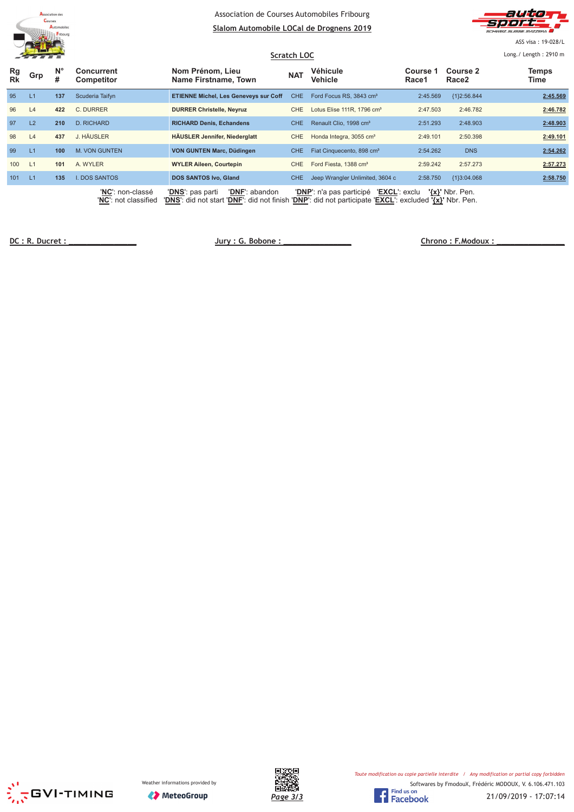



ASS visa : 19-028/L

|                 | $\blacksquare$ |                  |                                 |                                              | <b>Scratch LOC</b> |                                           |                   |                     | Long./ Length: 2910 m |
|-----------------|----------------|------------------|---------------------------------|----------------------------------------------|--------------------|-------------------------------------------|-------------------|---------------------|-----------------------|
| Rg<br><b>Rk</b> | Grp            | $N^{\circ}$<br># | <b>Concurrent</b><br>Competitor | Nom Prénom, Lieu<br>Name Firstname, Town     | <b>NAT</b>         | Véhicule<br>Vehicle                       | Course 1<br>Race1 | Course 2<br>Race2   | <b>Temps</b><br>Time  |
| 95              | L1             | 137              | Scuderia Taifyn                 | <b>ETIENNE Michel, Les Geneveys sur Coff</b> | CHE.               | Ford Focus RS, 3843 cm <sup>3</sup>       | 2:45.569          | {1}2:56.844         | 2:45.569              |
| 96              | L4             | 422              | C. DURRER                       | <b>DURRER Christelle, Neyruz</b>             | CHE                | Lotus Elise 111R, 1796 cm <sup>3</sup>    | 2:47.503          | 2:46.782            | 2:46.782              |
| 97              | L2             | 210              | D. RICHARD                      | <b>RICHARD Denis, Echandens</b>              | <b>CHE</b>         | Renault Clio, 1998 cm <sup>3</sup>        | 2:51.293          | 2:48.903            | 2:48.903              |
| 98              | L4             | 437              | J. HÄUSLER                      | <b>HÄUSLER Jennifer, Niederglatt</b>         | <b>CHE</b>         | Honda Integra, 3055 cm <sup>3</sup>       | 2:49.101          | 2:50.398            | 2:49.101              |
| 99              | L1             | 100              | <b>M. VON GUNTEN</b>            | VON GUNTEN Marc, Düdingen                    | <b>CHE</b>         | Fiat Cinquecento, 898 cm <sup>3</sup>     | 2:54.262          | <b>DNS</b>          | 2:54.262              |
| 100             | L1             | 101              | A. WYLER                        | <b>WYLER Alleen, Courtepin</b>               | CHE                | Ford Fiesta, 1388 cm <sup>3</sup>         | 2:59.242          | 2:57.273            | 2:57.273              |
| 101             | L1             | 135              | I. DOS SANTOS                   | <b>DOS SANTOS Ivo, Gland</b>                 | <b>CHE</b>         | Jeep Wrangler Unlimited, 3604 c           | 2:58.750          | {1}3:04.068         | 2:58.750              |
|                 |                |                  | 'NC': non-classé                | 'DNF': abandon<br>'DNS': pas parti           |                    | 'EXCL': exclu<br>'DNP': n'a pas participé |                   | $\{x\}$ ' Nbr. Pen. |                       |

'**NC**': not classified '**DNS**': did not start '**DNF**': did not finish '**DNP**': did not participate '**EXCL**': excluded **'{x}'** Nbr. Pen.

**!"#** 

 $Chrono: F. Modoux:$ 





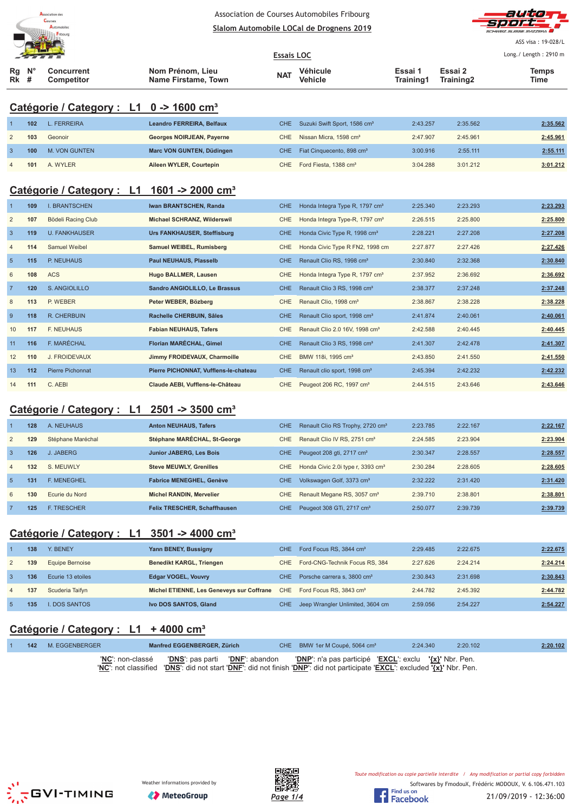

# Association de Courses Automobiles Fribourg



|                 |                                                        | Courses<br>Automobiles                              | Association ac courses Automobiles i modific<br>Slalom Automobile LOCal de Drognens 2019 |                   |                                            |                      |                      |                       |  |  |  |
|-----------------|--------------------------------------------------------|-----------------------------------------------------|------------------------------------------------------------------------------------------|-------------------|--------------------------------------------|----------------------|----------------------|-----------------------|--|--|--|
|                 |                                                        |                                                     |                                                                                          |                   |                                            |                      |                      | ASS visa: 19-028/L    |  |  |  |
|                 |                                                        |                                                     |                                                                                          | <b>Essais LOC</b> |                                            |                      |                      | Long./ Length: 2910 m |  |  |  |
| Rg<br>Rk        | #                                                      | <b>Concurrent</b><br><b>Competitor</b>              | Nom Prénom, Lieu<br>Name Firstame, Town                                                  | <b>NAT</b>        | Véhicule<br><b>Vehicle</b>                 | Essai 1<br>Training1 | Essai 2<br>Training2 | Temps<br>Time         |  |  |  |
|                 |                                                        | Catégorie / Category : L1 0 -> 1600 cm <sup>3</sup> |                                                                                          |                   |                                            |                      |                      |                       |  |  |  |
|                 | 102                                                    | <b>L. FERREIRA</b>                                  | Leandro FERREIRA, Belfaux                                                                | CHE.              | Suzuki Swift Sport, 1586 cm <sup>3</sup>   | 2:43.257             | 2:35.562             | 2:35.562              |  |  |  |
| $\overline{2}$  | 103                                                    | Geonoir                                             | Georges NOIRJEAN, Payerne                                                                | <b>CHE</b>        | Nissan Micra, 1598 cm <sup>3</sup>         | 2:47.907             | 2:45.961             | 2:45.961              |  |  |  |
| 3               | 100                                                    | M. VON GUNTEN                                       | Marc VON GUNTEN, Düdingen                                                                | <b>CHE</b>        | Fiat Cinquecento, 898 cm <sup>3</sup>      | 3:00.916             | 2:55.111             | 2:55.111              |  |  |  |
|                 | 101                                                    | A. WYLER                                            | Aileen WYLER, Courtepin                                                                  | <b>CHE</b>        | Ford Fiesta, 1388 cm <sup>3</sup>          | 3:04.288             | 3:01.212             | 3:01.212              |  |  |  |
|                 |                                                        | Catégorie / Category : L1                           | 1601 -> 2000 cm <sup>3</sup>                                                             |                   |                                            |                      |                      |                       |  |  |  |
|                 | 109                                                    | <b>I. BRANTSCHEN</b>                                | Iwan BRANTSCHEN, Randa                                                                   | <b>CHE</b>        | Honda Integra Type R, 1797 cm <sup>3</sup> | 2:25.340             | 2:23.293             | 2:23.293              |  |  |  |
| $\overline{2}$  | 107                                                    | Bödeli Racing Club                                  | Michael SCHRANZ, Wilderswil                                                              | <b>CHE</b>        | Honda Integra Type-R, 1797 cm <sup>3</sup> | 2:26.515             | 2:25.800             | 2:25.800              |  |  |  |
| 3               | 119                                                    | <b>U. FANKHAUSER</b>                                | <b>Urs FANKHAUSER, Steffisburg</b>                                                       | <b>CHE</b>        | Honda Civic Type R, 1998 cm <sup>3</sup>   | 2:28.221             | 2:27.208             | 2:27.208              |  |  |  |
| $\overline{4}$  | 114                                                    | Samuel Weibel                                       | Samuel WEIBEL, Rumisberg                                                                 | <b>CHE</b>        | Honda Civic Type R FN2, 1998 cm            | 2:27.877             | 2:27.426             | 2:27.426              |  |  |  |
| $5\phantom{.0}$ | 115                                                    | P. NEUHAUS                                          | <b>Paul NEUHAUS, Plasselb</b>                                                            | <b>CHE</b>        | Renault Clio RS, 1998 cm <sup>3</sup>      | 2:30.840             | 2:32.368             | 2:30.840              |  |  |  |
| 6               | 108                                                    | <b>ACS</b>                                          | <b>Hugo BALLMER, Lausen</b>                                                              | CHE               | Honda Integra Type R, 1797 cm <sup>3</sup> | 2:37.952             | 2:36.692             | 2:36.692              |  |  |  |
| $\overline{7}$  | 120                                                    | S. ANGIOLILLO                                       | Sandro ANGIOLILLO, Le Brassus                                                            | <b>CHE</b>        | Renault Clio 3 RS, 1998 cm <sup>3</sup>    | 2:38.377             | 2:37.248             | 2:37.248              |  |  |  |
| 8               | 113                                                    | P. WEBER                                            | Peter WEBER, Bözberg                                                                     | CHE               | Renault Clio, 1998 cm <sup>3</sup>         | 2:38.867             | 2:38.228             | 2:38.228              |  |  |  |
| 9               | 118                                                    | <b>R. CHERBUIN</b>                                  | Rachelle CHERBUIN, Sâles                                                                 | <b>CHE</b>        | Renault Clio sport, 1998 cm <sup>3</sup>   | 2:41.874             | 2:40.061             | 2:40.061              |  |  |  |
| 10              | 117                                                    | <b>F. NEUHAUS</b>                                   | <b>Fabian NEUHAUS, Tafers</b>                                                            | <b>CHE</b>        | Renault Clio 2.0 16V, 1998 cm <sup>3</sup> | 2:42.588             | 2:40.445             | 2:40.445              |  |  |  |
| 11              | 116                                                    | F. MARÉCHAL                                         | Florian MARÉCHAL, Gimel                                                                  | <b>CHE</b>        | Renault Clio 3 RS, 1998 cm <sup>3</sup>    | 2:41.307             | 2:42.478             | 2:41.307              |  |  |  |
| 12              | 110                                                    | J. FROIDEVAUX                                       | Jimmy FROIDEVAUX, Charmoille                                                             | <b>CHE</b>        | BMW 118i, 1995 cm <sup>3</sup>             | 2:43.850             | 2:41.550             | 2:41.550              |  |  |  |
| 13              | 112                                                    | <b>Pierre Pichonnat</b>                             | Pierre PICHONNAT, Vufflens-le-chateau                                                    | <b>CHE</b>        | Renault clio sport, 1998 cm <sup>3</sup>   | 2:45.394             | 2:42.232             | 2:42.232              |  |  |  |
| 14              | 111                                                    | C. AEBI                                             | Claude AEBI, Vufflens-le-Château                                                         | <b>CHE</b>        | Peugeot 206 RC, 1997 cm <sup>3</sup>       | 2:44.515             | 2:43.646             | 2:43.646              |  |  |  |
|                 | Catégorie / Category : L1 2501 -> 3500 cm <sup>3</sup> |                                                     |                                                                                          |                   |                                            |                      |                      |                       |  |  |  |

#### **Catégorie / Category : L1 2501 -> 3500 cm³**

|                | 128 | A. NEUHAUS         | <b>Anton NEUHAUS, Tafers</b>        | <b>CHE</b> | Renault Clio RS Trophy, 2720 cm <sup>3</sup>  | 2:23.785 | 2:22.167 | 2:22.167 |
|----------------|-----|--------------------|-------------------------------------|------------|-----------------------------------------------|----------|----------|----------|
| $\overline{2}$ | 129 | Stéphane Maréchal  | Stéphane MARÉCHAL, St-George        | CHE.       | Renault Clio IV RS, 2751 cm <sup>3</sup>      | 2:24.585 | 2:23.904 | 2:23.904 |
| $\mathbf{3}$   | 126 | J. JABERG          | <b>Junior JABERG, Les Bois</b>      | CHE.       | Peugeot 208 gti, 2717 cm <sup>3</sup>         | 2:30.347 | 2:28.557 | 2:28.557 |
| $\overline{4}$ | 132 | S. MEUWLY          | <b>Steve MEUWLY, Grenilles</b>      | CHE.       | Honda Civic 2.0i type r, 3393 cm <sup>3</sup> | 2:30.284 | 2:28.605 | 2:28.605 |
| -5             | 131 | <b>F. MENEGHEL</b> | <b>Fabrice MENEGHEL, Genève</b>     | CHE.       | Volkswagen Golf, 3373 cm <sup>3</sup>         | 2:32.222 | 2:31.420 | 2:31.420 |
| 6              | 130 | Ecurie du Nord     | <b>Michel RANDIN, Mervelier</b>     | CHE.       | Renault Megane RS, 3057 cm <sup>3</sup>       | 2:39.710 | 2:38.801 | 2:38.801 |
|                | 125 | <b>F. TRESCHER</b> | <b>Felix TRESCHER, Schaffhausen</b> | <b>CHE</b> | Peugeot 308 GTi, 2717 cm <sup>3</sup>         | 2:50.077 | 2:39.739 | 2:39.739 |

# **Catégorie / Category : L1 3501 -> 4000 cm³**

|              | 138 | Y. BENEY          | Yann BENEY, Bussigny                      | CHE. | Ford Focus RS, 3844 cm <sup>3</sup>     | 2:29.485 | 2:22.675 | 2:22.675 |
|--------------|-----|-------------------|-------------------------------------------|------|-----------------------------------------|----------|----------|----------|
|              | 139 | Equipe Bernoise   | <b>Benedikt KARGL, Triengen</b>           |      | CHE Ford-CNG-Technik Focus RS, 384      | 2:27.626 | 2:24.214 | 2:24.214 |
| $\mathbf{3}$ | 136 | Ecurie 13 etoiles | <b>Edgar VOGEL, Vouvry</b>                | CHE. | Porsche carrera s. 3800 cm <sup>3</sup> | 2:30.843 | 2:31.698 | 2:30.843 |
| 4            | 137 | Scuderia Taifyn   | Michel ETIENNE, Les Geneveys sur Coffrane |      | CHE Ford Focus RS, 3843 cm <sup>3</sup> | 2:44.782 | 2:45.392 | 2:44.782 |
|              | 135 | I. DOS SANTOS     | Ivo DOS SANTOS, Gland                     | CHE. | Jeep Wrangler Unlimited, 3604 cm        | 2:59.056 | 2:54.227 | 2:54.227 |

# **Catégorie / Category : L1 + 4000 cm³**

| 142 | M. EGGENBERGER            | Manfred EGGENBERGER, Zürich                                                                                                 | CHE BMW 1er M Coupé, 5064 cm <sup>3</sup> | 2:24.340 | 2:20.102 | 2:20.102 |
|-----|---------------------------|-----------------------------------------------------------------------------------------------------------------------------|-------------------------------------------|----------|----------|----------|
|     | ' <b>NC'</b> : non-classé | <b>'DNS'</b> : pas parti <b>'DNF':</b> abandon <b>'DNP':</b> n'a pas participé <b>'EXCL':</b> exclu ' $\{x\}$ ' Nbr. Pen.   |                                           |          |          |          |
|     |                           | 'NC': not classified 'DNS': did not start 'DNF': did not finish 'DNP': did not participate 'EXCL': excluded '{x}' Nbr. Pen. |                                           |          |          |          |





21/09/2019 - 12:36:00

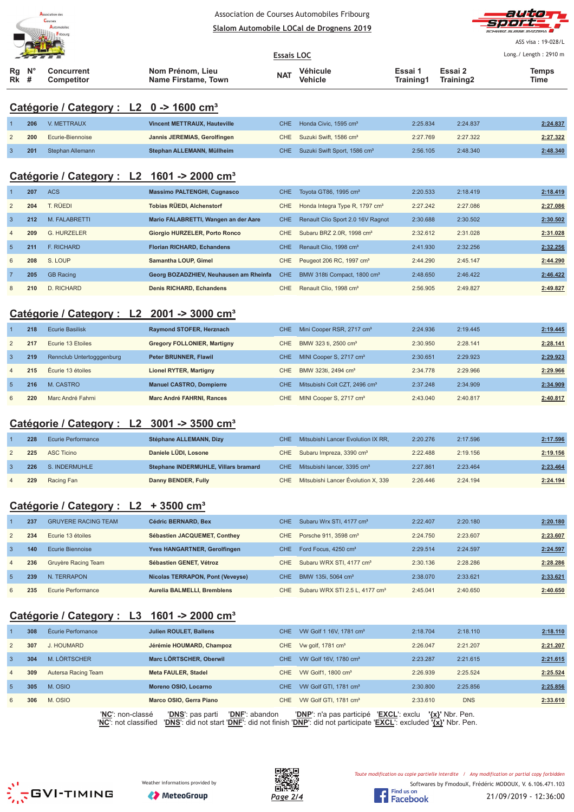



ASS visa : 19-028/L

| Véhicule<br>$Rq$ $N^{\circ}$<br>Nom Prénom, Lieu<br>Essai 1<br>Essai 2<br>Concurrent<br>Temps<br><b>NAT</b><br>Vehicle<br>Rk<br>Training1<br>Time<br>#<br>Name Firstame, Town<br>Training2<br>Competitor | $\mathcal{L}$ , where $\mathcal{L}$ |  |  | <b>Essais LOC</b> |  | Long./ Length: 2910 m |  |  |
|----------------------------------------------------------------------------------------------------------------------------------------------------------------------------------------------------------|-------------------------------------|--|--|-------------------|--|-----------------------|--|--|
|                                                                                                                                                                                                          |                                     |  |  |                   |  |                       |  |  |

#### **Catégorie / Category : L2 0 -> 1600 cm³**

| 206 | V. METTRAUX      | Vincent METTRAUX, Hauteville | CHE Honda Civic. 1595 cm <sup>3</sup>        | 2:25.834 | 2:24.837 | 2:24.837 |
|-----|------------------|------------------------------|----------------------------------------------|----------|----------|----------|
| 200 | Ecurie-Biennoise | Jannis JEREMIAS, Gerolfingen | CHE Suzuki Swift, 1586 cm <sup>3</sup>       | 2:27.769 | 2:27.322 | 2:27.322 |
| 201 | Stephan Allemann | Stephan ALLEMANN, Müllheim   | CHE Suzuki Swift Sport, 1586 cm <sup>3</sup> | 2:56.105 | 2:48.340 | 2:48.340 |

#### **Catégorie / Category : L2 1601 -> 2000 cm³**

|                 | 207 | <b>ACS</b>        | <b>Massimo PALTENGHI, Cugnasco</b>     | CHE.       | Toyota GT86, 1995 cm <sup>3</sup>          | 2:20.533 | 2:18.419 | 2:18.419 |
|-----------------|-----|-------------------|----------------------------------------|------------|--------------------------------------------|----------|----------|----------|
| $\overline{2}$  | 204 | T. RÜEDI          | <b>Tobias RÜEDI, Alchenstorf</b>       | CHE.       | Honda Integra Type R, 1797 cm <sup>3</sup> | 2:27.242 | 2:27.086 | 2:27.086 |
| $\overline{3}$  | 212 | M. FALABRETTI     | Mario FALABRETTI, Wangen an der Aare   | <b>CHE</b> | Renault Clio Sport 2.0 16V Ragnot          | 2:30.688 | 2:30.502 | 2:30.502 |
| $\overline{4}$  | 209 | G. HURZELER       | Giorgio HURZELER, Porto Ronco          | CHE.       | Subaru BRZ 2.0R, 1998 cm <sup>3</sup>      | 2:32.612 | 2:31.028 | 2:31.028 |
| $5\overline{5}$ | 211 | <b>F. RICHARD</b> | <b>Florian RICHARD, Echandens</b>      | <b>CHE</b> | Renault Clio, 1998 cm <sup>3</sup>         | 2:41.930 | 2:32.256 | 2:32.256 |
| 6               | 208 | S. LOUP           | Samantha LOUP, Gimel                   | CHE.       | Peugeot 206 RC, 1997 cm <sup>3</sup>       | 2:44.290 | 2:45.147 | 2:44.290 |
| $\overline{7}$  | 205 | <b>GB Racing</b>  | Georg BOZADZHIEV, Neuhausen am Rheinfa | <b>CHE</b> | BMW 318ti Compact, 1800 cm <sup>3</sup>    | 2:48.650 | 2:46.422 | 2:46.422 |
| 8               | 210 | D. RICHARD        | <b>Denis RICHARD, Echandens</b>        | <b>CHE</b> | Renault Clio, 1998 cm <sup>3</sup>         | 2:56.905 | 2:49.827 | 2:49.827 |

# **Catégorie / Category : L2 2001 -> 3000 cm³**

|                | 218 | Ecurie Basilisk           | Raymond STOFER, Herznach           | <b>CHE</b> | Mini Cooper RSR, 2717 cm <sup>3</sup>     | 2:24.936 | 2:19.445 | 2:19.445 |
|----------------|-----|---------------------------|------------------------------------|------------|-------------------------------------------|----------|----------|----------|
| 2              | 217 | Ecurie 13 Etoiles         | <b>Gregory FOLLONIER, Martigny</b> | CHE.       | BMW 323 ti. 2500 cm <sup>3</sup>          | 2:30.950 | 2:28.141 | 2:28.141 |
| $\mathbf{3}$   | 219 | Rennclub Untertogggenburg | <b>Peter BRUNNER, Flawil</b>       | CHE.       | MINI Cooper S, 2717 cm <sup>3</sup>       | 2:30.651 | 2:29.923 | 2:29.923 |
| $\overline{4}$ | 215 | Écurie 13 étoiles         | Lionel RYTER, Martigny             | CHE.       | BMW 323ti, 2494 cm <sup>3</sup>           | 2:34.778 | 2:29.966 | 2:29.966 |
| $\overline{5}$ | 216 | M. CASTRO                 | <b>Manuel CASTRO, Dompierre</b>    | CHE        | Mitsubishi Colt CZT, 2496 cm <sup>3</sup> | 2:37.248 | 2:34.909 | 2:34.909 |
| 6              | 220 | Marc André Fahrni         | Marc André FAHRNI, Rances          | <b>CHE</b> | MINI Cooper S, 2717 cm <sup>3</sup>       | 2:43.040 | 2:40.817 | 2:40.817 |

#### **Catégorie / Category : L2 3001 -> 3500 cm³**

|                | 228 | Ecurie Performance | Stéphane ALLEMANN, Dizy              | CHE Mitsubishi Lancer Evolution IX RR.      | 2:20.276 | 2:17.596 | 2:17.596 |
|----------------|-----|--------------------|--------------------------------------|---------------------------------------------|----------|----------|----------|
|                | 225 | ASC Ticino         | Daniele LÜDI, Losone                 | CHE Subaru Impreza, 3390 cm <sup>3</sup>    | 2:22.488 | 2:19.156 | 2:19.156 |
|                | 226 | S. INDERMUHLE      | Stephane INDERMUHLE, Villars bramard | CHE Mitsubishi lancer, 3395 cm <sup>3</sup> | 2:27.861 | 2:23.464 | 2:23.464 |
| $\overline{4}$ | 229 | Racing Fan         | Danny BENDER, Fully                  | CHE Mitsubishi Lancer Évolution X, 339      | 2:26.446 | 2:24.194 | 2:24.194 |

### **Catégorie / Category : L2 + 3500 cm³**

|                | 237 | <b>GRUYERE RACING TEAM</b> | Cédric BERNARD, Bex              | CHE. | Subaru Wrx STI, 4177 cm <sup>3</sup>       | 2:22.407 | 2:20.180 | 2:20.180 |
|----------------|-----|----------------------------|----------------------------------|------|--------------------------------------------|----------|----------|----------|
| 2              | 234 | Ecurie 13 étoiles          | Sébastien JACQUEMET, Conthey     | CHE. | Porsche 911, 3598 cm <sup>3</sup>          | 2:24.750 | 2:23.607 | 2:23.607 |
| $\mathbf{3}$   | 140 | Ecurie Biennoise           | Yves HANGARTNER, Gerolfingen     | CHE. | Ford Focus, 4250 cm <sup>3</sup>           | 2:29.514 | 2:24.597 | 2:24.597 |
| $\overline{4}$ | 236 | Gruyère Racing Team        | Sébastien GENET, Vétroz          | CHE. | Subaru WRX STI, 4177 cm <sup>3</sup>       | 2:30.136 | 2:28.286 | 2:28.286 |
| $\sqrt{5}$     | 239 | N. TERRAPON                | Nicolas TERRAPON, Pont (Veveyse) | CHE. | BMW 135i, 5064 cm <sup>3</sup>             | 2:38.070 | 2:33.621 | 2:33.621 |
| 6              | 235 | Ecurie Performance         | Aurelia BALMELLI, Bremblens      | CHE  | Subaru WRX STI 2.5 L, 4177 cm <sup>3</sup> | 2:45.041 | 2:40.650 | 2:40.650 |

#### **Catégorie / Category : L3 1601 -> 2000 cm³**

|                | 308 | Écurie Perfornance       | <b>Julien ROULET, Ballens</b>      | CHE.       | VW Golf 1 16V, 1781 cm <sup>3</sup>       | 2:18.704            | 2:18.110   | 2:18.110 |
|----------------|-----|--------------------------|------------------------------------|------------|-------------------------------------------|---------------------|------------|----------|
| $\overline{2}$ | 307 | J. HOUMARD               | Jérémie HOUMARD, Champoz           |            | CHE Vw golf, 1781 $cm3$                   | 2:26.047            | 2:21.207   | 2:21.207 |
| $\mathbf{3}$   | 304 | M. LÖRTSCHER             | Marc LÖRTSCHER, Oberwil            | CHE.       | VW Golf 16V, 1780 cm <sup>3</sup>         | 2:23.287            | 2:21.615   | 2:21.615 |
| $\overline{4}$ | 309 | Autersa Racing Team      | Meta FAULER, Stadel                | CHE        | VW Golf1, 1800 cm <sup>3</sup>            | 2:26.939            | 2:25.524   | 2:25.524 |
| $\sqrt{5}$     | 305 | M. OSIO                  | Moreno OSIO, Locarno               | <b>CHE</b> | VW Golf GTI, 1781 cm <sup>3</sup>         | 2:30.800            | 2:25.856   | 2:25.856 |
| 6              | 306 | M. OSIO                  | Marco OSIO, Gerra Piano            |            | CHE VW Golf GTI, 1781 cm <sup>3</sup>     | 2:33.610            | <b>DNS</b> | 2:33.610 |
|                |     | <b>'NC'</b> : non-classé | 'DNS': pas parti<br>'DNF': abandon |            | 'EXCL': exclu<br>'DNP': n'a pas participé | $\{x\}$ ' Nbr. Pen. |            |          |

'**NC**': not classified '**DNS**': did not start '**DNF**': did not finish '**DNP**': did not participate '**EXCL**': excluded **'{x}'** Nbr. Pen.







Softwares by FmodouX, Frédéric MODOUX, V. 6.106.471.103 Toute modification ou copie partielle interdite / Any modification or partial copy forbidden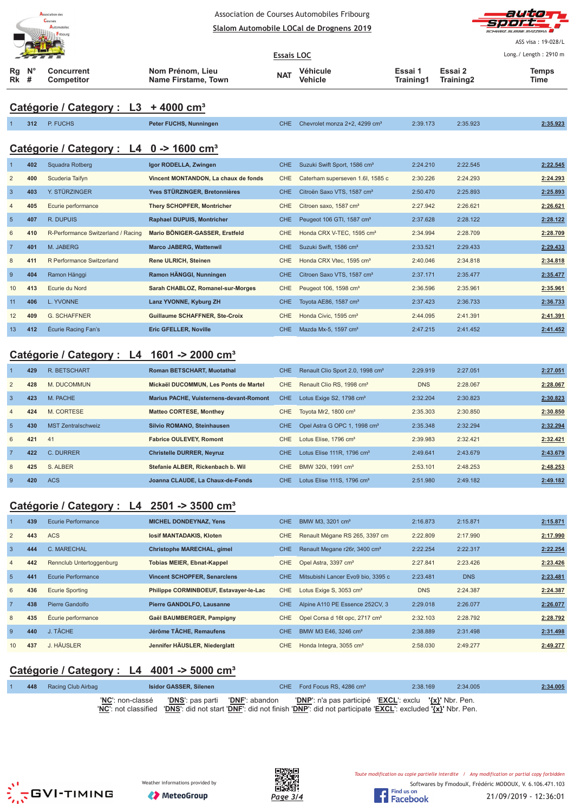| <b>Association des</b><br>Courses |
|-----------------------------------|
| <b>Automobiles</b>                |
| Fribourg                          |



ASS visa : 19-028/L

| <b>PARTIES</b>                  |  |                                 | <b>Essais LOC</b>                       |            |                     | Long./ Length: 2910 m |                                  |               |
|---------------------------------|--|---------------------------------|-----------------------------------------|------------|---------------------|-----------------------|----------------------------------|---------------|
| $Rq$ $N^{\circ}$<br><b>Rk</b> # |  | Concurrent<br><b>Competitor</b> | Nom Prénom, Lieu<br>Name Firstame, Town | <b>NAT</b> | Véhicule<br>Vehicle | Essai 1<br>Training1  | Essai 2<br>Training <sub>2</sub> | Temps<br>Time |

# **Catégorie / Category : L3 + 4000 cm³**

|                 | 312 | P. FUCHS                                            | Peter FUCHS, Nunningen               | <b>CHE</b> | Chevrolet monza 2+2, 4299 cm <sup>3</sup> | 2:39.173 | 2:35.923 | 2:35.923 |
|-----------------|-----|-----------------------------------------------------|--------------------------------------|------------|-------------------------------------------|----------|----------|----------|
|                 |     | Catégorie / Category : L4 0 -> 1600 cm <sup>3</sup> |                                      |            |                                           |          |          |          |
|                 | 402 | Squadra Rotberg                                     | Igor RODELLA, Zwingen                | CHE.       | Suzuki Swift Sport, 1586 cm <sup>3</sup>  | 2:24.210 | 2:22.545 | 2:22.545 |
| 2               | 400 | Scuderia Taifyn                                     | Vincent MONTANDON, La chaux de fonds | <b>CHE</b> | Caterham superseven 1.6I, 1585 c          | 2:30.226 | 2:24.293 | 2:24.293 |
| $\overline{3}$  | 403 | Y. STÜRZINGER                                       | Yves STÜRZINGER, Bretonnières        | <b>CHE</b> | Citroën Saxo VTS, 1587 cm <sup>3</sup>    | 2:50.470 | 2:25.893 | 2:25.893 |
| $\overline{4}$  | 405 | Ecurie performance                                  | <b>Thery SCHOPFER, Montricher</b>    | <b>CHE</b> | Citroen saxo, 1587 cm <sup>3</sup>        | 2:27.942 | 2:26.621 | 2:26.621 |
| $5\phantom{.0}$ | 407 | R. DUPUIS                                           | <b>Raphael DUPUIS, Montricher</b>    | <b>CHE</b> | Peugeot 106 GTI, 1587 cm <sup>3</sup>     | 2:37.628 | 2:28.122 | 2:28.122 |
| 6               | 410 | R-Performance Switzerland / Racing                  | Mario BÖNIGER-GASSER, Erstfeld       | <b>CHE</b> | Honda CRX V-TEC, 1595 cm <sup>3</sup>     | 2:34.994 | 2:28.709 | 2:28.709 |
| $\overline{7}$  | 401 | M. JABERG                                           | <b>Marco JABERG, Wattenwil</b>       | CHE.       | Suzuki Swift, 1586 cm <sup>3</sup>        | 2:33.521 | 2:29.433 | 2:29.433 |
| 8               | 411 | R Performance Switzerland                           | <b>Rene ULRICH, Steinen</b>          | <b>CHE</b> | Honda CRX Vtec, 1595 cm <sup>3</sup>      | 2:40.046 | 2:34.818 | 2:34.818 |
| 9               | 404 | Ramon Hänggi                                        | Ramon HÄNGGI, Nunningen              | CHE.       | Citroen Saxo VTS, 1587 cm <sup>3</sup>    | 2:37.171 | 2:35.477 | 2:35.477 |
| 10              | 413 | Ecurie du Nord                                      | Sarah CHABLOZ, Romanel-sur-Morges    | <b>CHE</b> | Peugeot 106, 1598 cm <sup>3</sup>         | 2:36.596 | 2:35.961 | 2:35.961 |
| 11              | 406 | L. YVONNE                                           | Lanz YVONNE, Kyburg ZH               | <b>CHE</b> | Toyota AE86, 1587 cm <sup>3</sup>         | 2:37.423 | 2:36.733 | 2:36.733 |
| 12              | 409 | <b>G. SCHAFFNER</b>                                 | Guillaume SCHAFFNER, Ste-Croix       | <b>CHE</b> | Honda Civic, 1595 cm <sup>3</sup>         | 2:44.095 | 2:41.391 | 2:41.391 |
| 13              | 412 | <b>Écurie Racing Fan's</b>                          | <b>Eric GFELLER, Noville</b>         | <b>CHE</b> | Mazda Mx-5, 1597 cm <sup>3</sup>          | 2:47.215 | 2:41.452 | 2:41.452 |

# **Catégorie / Category : L4 1601 -> 2000 cm³**

|                 | 429 | <b>R. BETSCHART</b>       | <b>Roman BETSCHART, Muotathal</b>              | <b>CHE</b> | Renault Clio Sport 2.0, 1998 cm <sup>3</sup> | 2:29.919   | 2:27.051 | 2:27.051 |
|-----------------|-----|---------------------------|------------------------------------------------|------------|----------------------------------------------|------------|----------|----------|
| $\overline{2}$  | 428 | M. DUCOMMUN               | Mickaël DUCOMMUN, Les Ponts de Martel          | <b>CHE</b> | Renault Clio RS, 1998 cm <sup>3</sup>        | <b>DNS</b> | 2:28.067 | 2:28.067 |
| $\overline{3}$  | 423 | M. PACHE                  | <b>Marius PACHE, Vuisternens-devant-Romont</b> | CHE.       | Lotus Exige S2, 1798 cm <sup>3</sup>         | 2:32.204   | 2:30.823 | 2:30.823 |
| $\overline{4}$  | 424 | M. CORTESE                | <b>Matteo CORTESE, Monthey</b>                 | CHE        | Toyota Mr2, 1800 cm <sup>3</sup>             | 2:35.303   | 2:30.850 | 2:30.850 |
| $5\overline{5}$ | 430 | <b>MST Zentralschweiz</b> | Silvio ROMANO, Steinhausen                     | <b>CHE</b> | Opel Astra G OPC 1, 1998 cm <sup>3</sup>     | 2:35.348   | 2:32.294 | 2:32.294 |
| 6               | 421 | 41                        | <b>Fabrice OULEVEY, Romont</b>                 | <b>CHE</b> | Lotus Elise, 1796 cm <sup>3</sup>            | 2:39.983   | 2:32.421 | 2:32.421 |
| $\overline{7}$  | 422 | C. DURRER                 | <b>Christelle DURRER, Neyruz</b>               | CHE.       | Lotus Elise $111R$ . 1796 cm <sup>3</sup>    | 2:49.641   | 2:43.679 | 2:43.679 |
| 8               | 425 | S. ALBER                  | Stefanie ALBER, Rickenbach b. Wil              | <b>CHE</b> | BMW 320i, 1991 cm <sup>3</sup>               | 2:53.101   | 2:48.253 | 2:48.253 |
| -9              | 420 | <b>ACS</b>                | Joanna CLAUDE, La Chaux-de-Fonds               | CHE.       | Lotus Elise $111S$ , $1796$ cm <sup>3</sup>  | 2:51.980   | 2:49.182 | 2:49.182 |

# **Catégorie / Category : L4 2501 -> 3500 cm³**

|                | 439 | Ecurie Performance       | <b>MICHEL DONDEYNAZ, Yens</b>          | <b>CHE</b> | BMW M3, 3201 cm <sup>3</sup>               | 2:16.873   | 2:15.871   | 2:15.871 |
|----------------|-----|--------------------------|----------------------------------------|------------|--------------------------------------------|------------|------------|----------|
| $\overline{2}$ | 443 | <b>ACS</b>               | losif MANTADAKIS, Kloten               | CHE        | Renault Mégane RS 265, 3397 cm             | 2:22.809   | 2:17.990   | 2:17.990 |
| $\overline{3}$ | 444 | C. MARECHAL              | <b>Christophe MARECHAL, gimel</b>      | <b>CHE</b> | Renault Megane r26r, 3400 cm <sup>3</sup>  | 2:22.254   | 2:22.317   | 2:22.254 |
| $\overline{4}$ | 442 | Rennclub Untertoggenburg | <b>Tobias MEIER, Ebnat-Kappel</b>      | <b>CHE</b> | Opel Astra, 3397 cm <sup>3</sup>           | 2:27.841   | 2:23.426   | 2:23.426 |
| 5              | 441 | Ecurie Performance       | <b>Vincent SCHOPFER, Senarclens</b>    | CHE.       | Mitsubishi Lancer Evo9 bio, 3395 c         | 2:23.481   | <b>DNS</b> | 2:23.481 |
| 6              | 436 | <b>Ecurie Sporting</b>   | Philippe CORMINBOEUF, Estavayer-le-Lac | <b>CHE</b> | Lotus Exige S, 3053 cm <sup>3</sup>        | <b>DNS</b> | 2:24.387   | 2:24.387 |
| $\overline{7}$ | 438 | Pierre Gandolfo          | Pierre GANDOLFO, Lausanne              | <b>CHE</b> | Alpine A110 PE Essence 252CV, 3            | 2:29.018   | 2:26.077   | 2:26.077 |
| 8              | 435 | Écurie performance       | Gaël BAUMBERGER, Pampigny              | CHE        | Opel Corsa d 16t opc, 2717 cm <sup>3</sup> | 2:32.103   | 2:28.792   | 2:28.792 |
| 9              | 440 | J. TÂCHE                 | Jérôme TÂCHE, Remaufens                | CHE.       | BMW M3 E46, 3246 cm <sup>3</sup>           | 2:38.889   | 2:31.498   | 2:31.498 |
| 10             | 437 | J. HÄUSLER               | Jennifer HÄUSLER, Niederglatt          | CHE        | Honda Integra, 3055 cm <sup>3</sup>        | 2:58.030   | 2:49.277   | 2:49.277 |

# **Catégorie / Category : L4 4001 -> 5000 cm³**

| 448 | Racing Club Airbag        | <b>Isidor GASSER, Silenen</b>                       | CHE Ford Focus RS, 4286 cm <sup>3</sup>                                                                                                                                                                      | 2:38.169 | 2:34.005 | 2:34.005 |
|-----|---------------------------|-----------------------------------------------------|--------------------------------------------------------------------------------------------------------------------------------------------------------------------------------------------------------------|----------|----------|----------|
|     | ' <b>NC</b> ': non-classé | <b>'DNS'</b> : pas parti <b>    'DNF'</b> : abandon | <b>'DNP'</b> : n'a pas participé <b>'EXCL'</b> : exclu <b>'{x}'</b> Nbr. Pen.<br>'NC': not classified 'DNS': did not start 'DNF': did not finish 'DNP': did not participate 'EXCL': excluded '{x}' Nbr. Pen. |          |          |          |







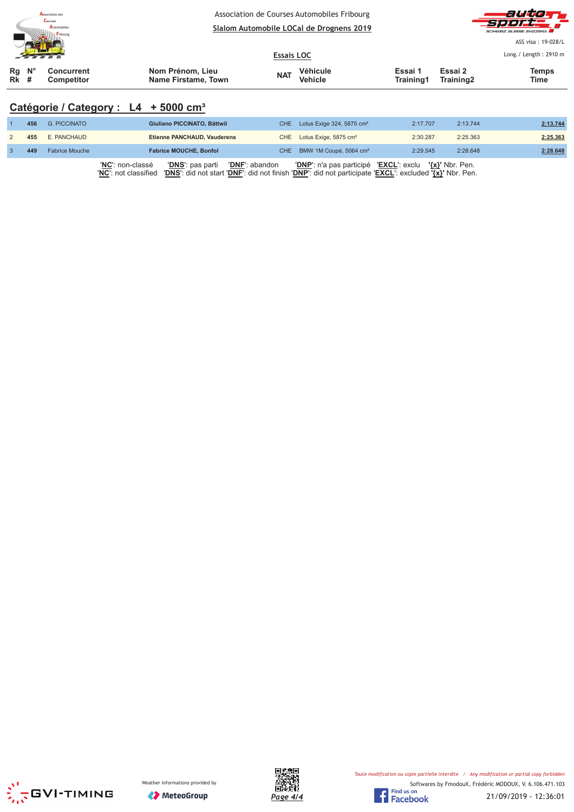| <b>Association des</b><br>Courses<br>Automobiles<br>Fribourg |  |                                 | Association de Courses Automobiles Fribourg<br>Slalom Automobile LOCal de Drognens 2019 |                   |                            |                      |                      | auto<br><b>Sport</b><br>SCHWEIZ SUISSE SVIZZEDA |  |  |
|--------------------------------------------------------------|--|---------------------------------|-----------------------------------------------------------------------------------------|-------------------|----------------------------|----------------------|----------------------|-------------------------------------------------|--|--|
|                                                              |  |                                 |                                                                                         | <b>Essais LOC</b> |                            |                      |                      | ASS visa: 19-028/L<br>Long./ Length: 2910 m     |  |  |
| $Rg$ $N^{\circ}$<br>$Rk$ #                                   |  | Concurrent<br><b>Competitor</b> | Nom Prénom, Lieu<br>Name Firstame, Town                                                 | <b>NAT</b>        | Véhicule<br><b>Vehicle</b> | Essai 1<br>Training1 | Essai 2<br>Training2 | <b>Temps</b><br>Time                            |  |  |

# **Catégorie / Category : L4 + 5000 cm³**

| 456 | G. PICCINATO          | Giuliano PICCINATO, Bättwil                                          | CHE Lotus Exige 324, 5875 cm <sup>3</sup>              | 2:17.707 | 2:13.744 | 2:13.744 |
|-----|-----------------------|----------------------------------------------------------------------|--------------------------------------------------------|----------|----------|----------|
| 455 | E. PANCHAUD           | Etienne PANCHAUD, Vauderens                                          | CHE Lotus Exige, 5875 cm <sup>3</sup>                  | 2:30.287 | 2:25.363 | 2:25.363 |
| 449 | <b>Fabrice Mouche</b> | <b>Fabrice MOUCHE, Bonfol</b>                                        | CHE BMW 1M Coupé, 5064 cm <sup>3</sup>                 | 2:29.545 | 2:28.648 | 2:28.648 |
|     |                       | 'NC': non-classé<br><b>'DNF':</b> abandon<br><b>'DNS':</b> pas parti | 'DNP': n'a pas participé 'EXCL': exclu '{x}' Nbr. Pen. |          |          |          |

'**NC**': not classified '**DNS**': did not start '**DNF**': did not finish '**DNP**': did not participate '**EXCL**': excluded **'{x}'** Nbr. Pen.